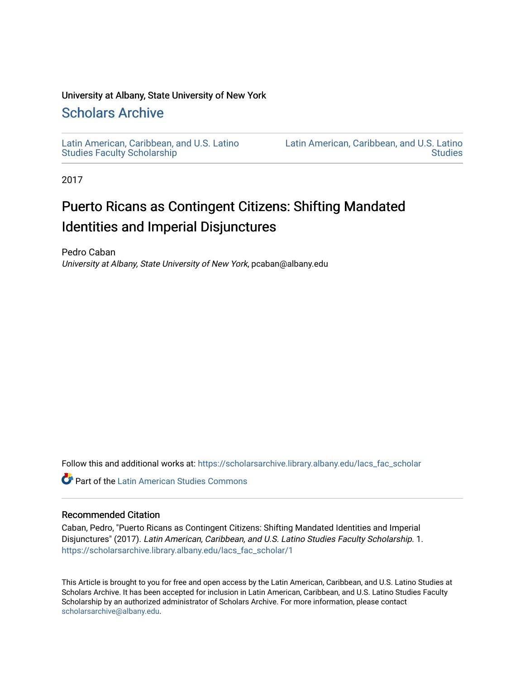## University at Albany, State University of New York

## [Scholars Archive](https://scholarsarchive.library.albany.edu/)

[Latin American, Caribbean, and U.S. Latino](https://scholarsarchive.library.albany.edu/lacs_fac_scholar)  [Studies Faculty Scholarship](https://scholarsarchive.library.albany.edu/lacs_fac_scholar) 

[Latin American, Caribbean, and U.S. Latino](https://scholarsarchive.library.albany.edu/lacs)  **Studies** 

2017

# Puerto Ricans as Contingent Citizens: Shifting Mandated Identities and Imperial Disjunctures

Pedro Caban University at Albany, State University of New York, pcaban@albany.edu

Follow this and additional works at: [https://scholarsarchive.library.albany.edu/lacs\\_fac\\_scholar](https://scholarsarchive.library.albany.edu/lacs_fac_scholar?utm_source=scholarsarchive.library.albany.edu%2Flacs_fac_scholar%2F1&utm_medium=PDF&utm_campaign=PDFCoverPages)

**C** Part of the Latin American Studies Commons

## Recommended Citation

Caban, Pedro, "Puerto Ricans as Contingent Citizens: Shifting Mandated Identities and Imperial Disjunctures" (2017). Latin American, Caribbean, and U.S. Latino Studies Faculty Scholarship. 1. [https://scholarsarchive.library.albany.edu/lacs\\_fac\\_scholar/1](https://scholarsarchive.library.albany.edu/lacs_fac_scholar/1?utm_source=scholarsarchive.library.albany.edu%2Flacs_fac_scholar%2F1&utm_medium=PDF&utm_campaign=PDFCoverPages)

This Article is brought to you for free and open access by the Latin American, Caribbean, and U.S. Latino Studies at Scholars Archive. It has been accepted for inclusion in Latin American, Caribbean, and U.S. Latino Studies Faculty Scholarship by an authorized administrator of Scholars Archive. For more information, please contact [scholarsarchive@albany.edu](mailto:scholarsarchive@albany.edu).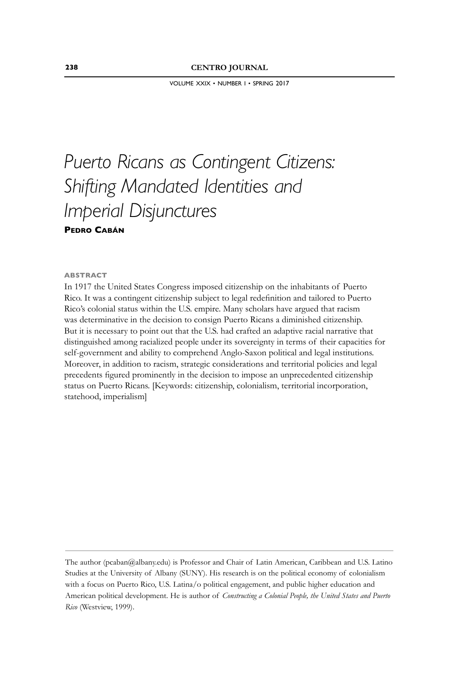VOLUME XXIX • NUMBER I • SPRING 2017

## *Puerto Ricans as Contingent Citizens: Shifting Mandated Identities and Imperial Disjunctures* **PEDRO CABÁN**

#### **ABSTRACT**

In 1917 the United States Congress imposed citizenship on the inhabitants of Puerto Rico. It was a contingent citizenship subject to legal redefinition and tailored to Puerto Rico's colonial status within the U.S. empire. Many scholars have argued that racism was determinative in the decision to consign Puerto Ricans a diminished citizenship. But it is necessary to point out that the U.S. had crafted an adaptive racial narrative that distinguished among racialized people under its sovereignty in terms of their capacities for self-government and ability to comprehend Anglo-Saxon political and legal institutions. Moreover, in addition to racism, strategic considerations and territorial policies and legal precedents figured prominently in the decision to impose an unprecedented citizenship status on Puerto Ricans. [Keywords: citizenship, colonialism, territorial incorporation, statehood, imperialism]

The author (pcaban@albany.edu) is Professor and Chair of Latin American, Caribbean and U.S. Latino Studies at the University of Albany (SUNY). His research is on the political economy of colonialism with a focus on Puerto Rico, U.S. Latina/o political engagement, and public higher education and American political development. He is author of *Constructing a Colonial People, the United States and Puerto Rico* (Westview, 1999).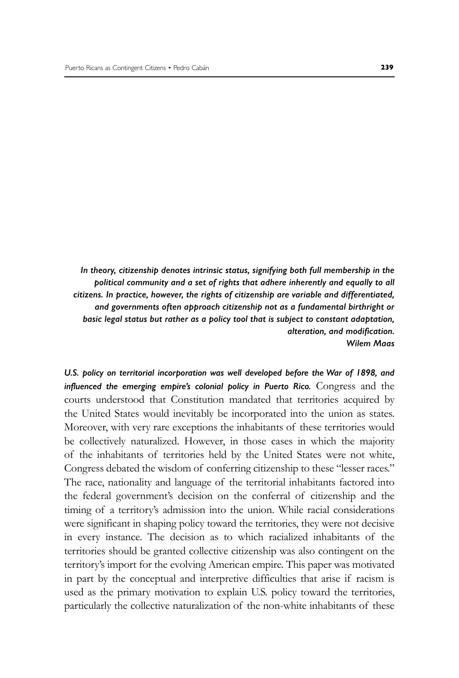*In theory, citizenship denotes intrinsic status, signifying both full membership in the political community and a set of rights that adhere inherently and equally to all citizens. In practice, however, the rights of citizenship are variable and differentiated, and governments often approach citizenship not as a fundamental birthright or basic legal status but rather as a policy tool that is subject to constant adaptation,*   $a$ *lteration, and modification. Wilem Maas*

*U.S. policy on territorial incorporation was well developed before the War of 1898, and influenced the emerging empire's colonial policy in Puerto Rico.* Congress and the courts understood that Constitution mandated that territories acquired by the United States would inevitably be incorporated into the union as states. Moreover, with very rare exceptions the inhabitants of these territories would be collectively naturalized. However, in those cases in which the majority of the inhabitants of territories held by the United States were not white, Congress debated the wisdom of conferring citizenship to these "lesser races." The race, nationality and language of the territorial inhabitants factored into the federal government's decision on the conferral of citizenship and the timing of a territory's admission into the union. While racial considerations were significant in shaping policy toward the territories, they were not decisive in every instance. The decision as to which racialized inhabitants of the territories should be granted collective citizenship was also contingent on the territory's import for the evolving American empire. This paper was motivated in part by the conceptual and interpretive difficulties that arise if racism is used as the primary motivation to explain U.S. policy toward the territories, particularly the collective naturalization of the non-white inhabitants of these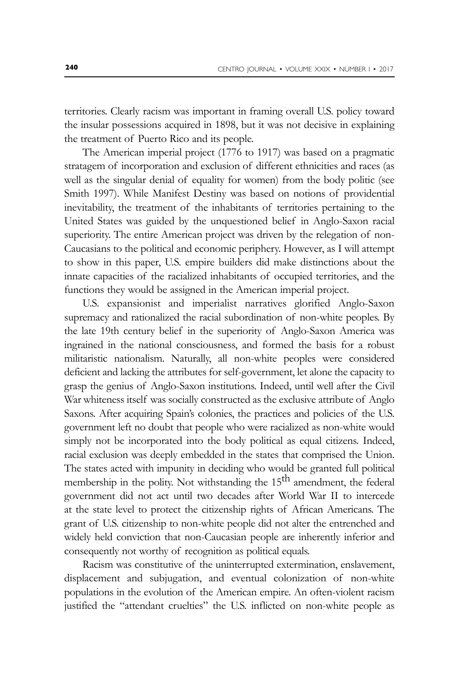territories. Clearly racism was important in framing overall U.S. policy toward the insular possessions acquired in 1898, but it was not decisive in explaining the treatment of Puerto Rico and its people.

The American imperial project (1776 to 1917) was based on a pragmatic stratagem of incorporation and exclusion of different ethnicities and races (as well as the singular denial of equality for women) from the body politic (see Smith 1997). While Manifest Destiny was based on notions of providential inevitability, the treatment of the inhabitants of territories pertaining to the United States was guided by the unquestioned belief in Anglo-Saxon racial superiority. The entire American project was driven by the relegation of non-Caucasians to the political and economic periphery. However, as I will attempt to show in this paper, U.S. empire builders did make distinctions about the innate capacities of the racialized inhabitants of occupied territories, and the functions they would be assigned in the American imperial project.

U.S. expansionist and imperialist narratives glorified Anglo-Saxon supremacy and rationalized the racial subordination of non-white peoples. By the late 19th century belief in the superiority of Anglo-Saxon America was ingrained in the national consciousness, and formed the basis for a robust militaristic nationalism. Naturally, all non-white peoples were considered deficient and lacking the attributes for self-government, let alone the capacity to grasp the genius of Anglo-Saxon institutions. Indeed, until well after the Civil War whiteness itself was socially constructed as the exclusive attribute of Anglo Saxons. After acquiring Spain's colonies, the practices and policies of the U.S. government left no doubt that people who were racialized as non-white would simply not be incorporated into the body political as equal citizens. Indeed, racial exclusion was deeply embedded in the states that comprised the Union. The states acted with impunity in deciding who would be granted full political membership in the polity. Not withstanding the 15<sup>th</sup> amendment, the federal government did not act until two decades after World War II to intercede at the state level to protect the citizenship rights of African Americans. The grant of U.S. citizenship to non-white people did not alter the entrenched and widely held conviction that non-Caucasian people are inherently inferior and consequently not worthy of recognition as political equals.

Racism was constitutive of the uninterrupted extermination, enslavement, displacement and subjugation, and eventual colonization of non-white populations in the evolution of the American empire. An often-violent racism justified the "attendant cruelties" the U.S. inflicted on non-white people as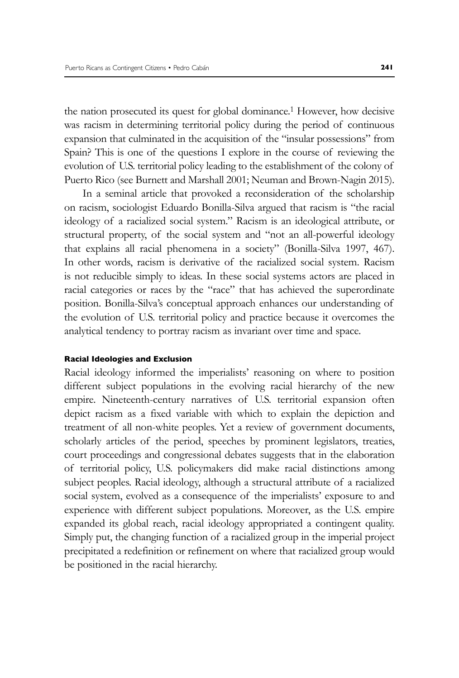the nation prosecuted its quest for global dominance.1 However, how decisive was racism in determining territorial policy during the period of continuous expansion that culminated in the acquisition of the "insular possessions" from Spain? This is one of the questions I explore in the course of reviewing the evolution of U.S. territorial policy leading to the establishment of the colony of Puerto Rico (see Burnett and Marshall 2001; Neuman and Brown-Nagin 2015).

In a seminal article that provoked a reconsideration of the scholarship on racism, sociologist Eduardo Bonilla-Silva argued that racism is "the racial ideology of a racialized social system." Racism is an ideological attribute, or structural property, of the social system and "not an all-powerful ideology that explains all racial phenomena in a society" (Bonilla-Silva 1997, 467). In other words, racism is derivative of the racialized social system. Racism is not reducible simply to ideas. In these social systems actors are placed in racial categories or races by the "race" that has achieved the superordinate position. Bonilla-Silva's conceptual approach enhances our understanding of the evolution of U.S. territorial policy and practice because it overcomes the analytical tendency to portray racism as invariant over time and space.

#### **Racial Ideologies and Exclusion**

Racial ideology informed the imperialists' reasoning on where to position different subject populations in the evolving racial hierarchy of the new empire. Nineteenth-century narratives of U.S. territorial expansion often depict racism as a fixed variable with which to explain the depiction and treatment of all non-white peoples. Yet a review of government documents, scholarly articles of the period, speeches by prominent legislators, treaties, court proceedings and congressional debates suggests that in the elaboration of territorial policy, U.S. policymakers did make racial distinctions among subject peoples. Racial ideology, although a structural attribute of a racialized social system, evolved as a consequence of the imperialists' exposure to and experience with different subject populations. Moreover, as the U.S. empire expanded its global reach, racial ideology appropriated a contingent quality. Simply put, the changing function of a racialized group in the imperial project precipitated a redefinition or refinement on where that racialized group would be positioned in the racial hierarchy.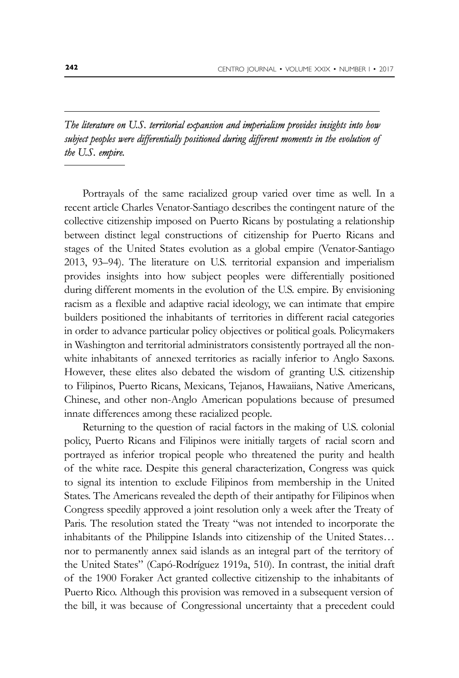## *The literature on U.S. territorial expansion and imperialism provides insights into how subject peoples were differentially positioned during different moments in the evolution of the U.S. empire.*

Portrayals of the same racialized group varied over time as well. In a recent article Charles Venator-Santiago describes the contingent nature of the collective citizenship imposed on Puerto Ricans by postulating a relationship between distinct legal constructions of citizenship for Puerto Ricans and stages of the United States evolution as a global empire (Venator-Santiago 2013, 93–94). The literature on U.S. territorial expansion and imperialism provides insights into how subject peoples were differentially positioned during different moments in the evolution of the U.S. empire. By envisioning racism as a flexible and adaptive racial ideology, we can intimate that empire builders positioned the inhabitants of territories in different racial categories in order to advance particular policy objectives or political goals. Policymakers in Washington and territorial administrators consistently portrayed all the nonwhite inhabitants of annexed territories as racially inferior to Anglo Saxons. However, these elites also debated the wisdom of granting U.S. citizenship to Filipinos, Puerto Ricans, Mexicans, Tejanos, Hawaiians, Native Americans, Chinese, and other non-Anglo American populations because of presumed innate differences among these racialized people.

Returning to the question of racial factors in the making of U.S. colonial policy, Puerto Ricans and Filipinos were initially targets of racial scorn and portrayed as inferior tropical people who threatened the purity and health of the white race. Despite this general characterization, Congress was quick to signal its intention to exclude Filipinos from membership in the United States. The Americans revealed the depth of their antipathy for Filipinos when Congress speedily approved a joint resolution only a week after the Treaty of Paris. The resolution stated the Treaty "was not intended to incorporate the inhabitants of the Philippine Islands into citizenship of the United States… nor to permanently annex said islands as an integral part of the territory of the United States" (Capó-Rodríguez 1919a, 510). In contrast, the initial draft of the 1900 Foraker Act granted collective citizenship to the inhabitants of Puerto Rico. Although this provision was removed in a subsequent version of the bill, it was because of Congressional uncertainty that a precedent could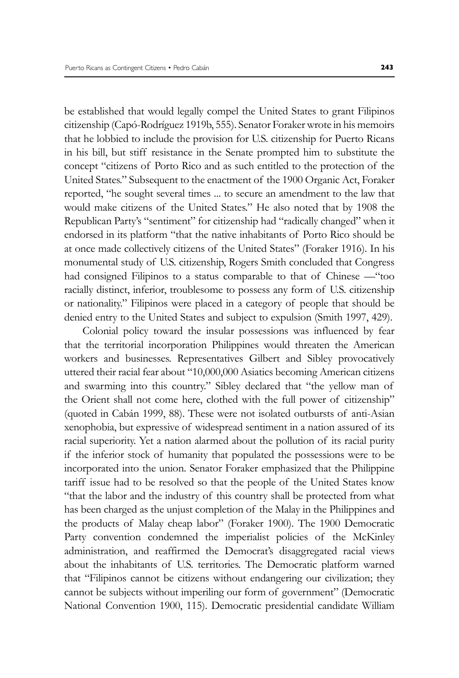be established that would legally compel the United States to grant Filipinos citizenship (Capó-Rodríguez 1919b, 555). Senator Foraker wrote in his memoirs that he lobbied to include the provision for U.S. citizenship for Puerto Ricans in his bill, but stiff resistance in the Senate prompted him to substitute the concept "citizens of Porto Rico and as such entitled to the protection of the United States." Subsequent to the enactment of the 1900 Organic Act, Foraker reported, "he sought several times ... to secure an amendment to the law that would make citizens of the United States." He also noted that by 1908 the Republican Party's "sentiment" for citizenship had "radically changed" when it endorsed in its platform "that the native inhabitants of Porto Rico should be at once made collectively citizens of the United States" (Foraker 1916). In his monumental study of U.S. citizenship, Rogers Smith concluded that Congress had consigned Filipinos to a status comparable to that of Chinese — "too racially distinct, inferior, troublesome to possess any form of U.S. citizenship or nationality." Filipinos were placed in a category of people that should be denied entry to the United States and subject to expulsion (Smith 1997, 429).

Colonial policy toward the insular possessions was influenced by fear that the territorial incorporation Philippines would threaten the American workers and businesses. Representatives Gilbert and Sibley provocatively uttered their racial fear about "10,000,000 Asiatics becoming American citizens and swarming into this country." Sibley declared that "the yellow man of the Orient shall not come here, clothed with the full power of citizenship" (quoted in Cabán 1999, 88). These were not isolated outbursts of anti-Asian xenophobia, but expressive of widespread sentiment in a nation assured of its racial superiority. Yet a nation alarmed about the pollution of its racial purity if the inferior stock of humanity that populated the possessions were to be incorporated into the union. Senator Foraker emphasized that the Philippine tariff issue had to be resolved so that the people of the United States know "that the labor and the industry of this country shall be protected from what has been charged as the unjust completion of the Malay in the Philippines and the products of Malay cheap labor" (Foraker 1900). The 1900 Democratic Party convention condemned the imperialist policies of the McKinley administration, and reaffirmed the Democrat's disaggregated racial views about the inhabitants of U.S. territories. The Democratic platform warned that "Filipinos cannot be citizens without endangering our civilization; they cannot be subjects without imperiling our form of government" (Democratic National Convention 1900, 115). Democratic presidential candidate William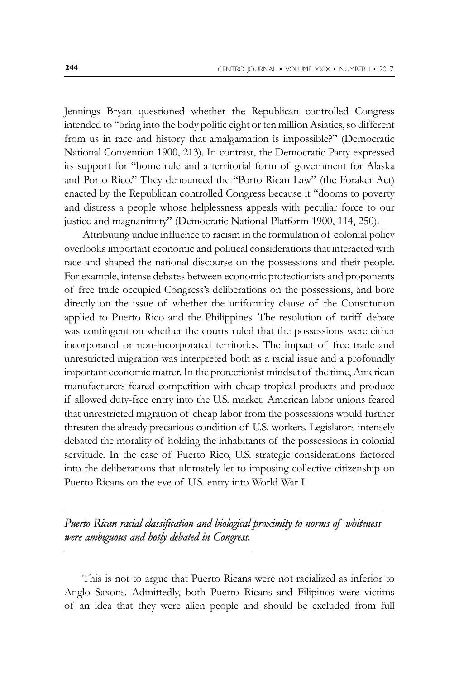Jennings Bryan questioned whether the Republican controlled Congress intended to "bring into the body politic eight or ten million Asiatics, so different from us in race and history that amalgamation is impossible?" (Democratic National Convention 1900, 213). In contrast, the Democratic Party expressed its support for "home rule and a territorial form of government for Alaska and Porto Rico." They denounced the "Porto Rican Law" (the Foraker Act) enacted by the Republican controlled Congress because it "dooms to poverty and distress a people whose helplessness appeals with peculiar force to our justice and magnanimity" (Democratic National Platform 1900, 114, 250).

Attributing undue influence to racism in the formulation of colonial policy overlooks important economic and political considerations that interacted with race and shaped the national discourse on the possessions and their people. For example, intense debates between economic protectionists and proponents of free trade occupied Congress's deliberations on the possessions, and bore directly on the issue of whether the uniformity clause of the Constitution applied to Puerto Rico and the Philippines. The resolution of tariff debate was contingent on whether the courts ruled that the possessions were either incorporated or non-incorporated territories. The impact of free trade and unrestricted migration was interpreted both as a racial issue and a profoundly important economic matter. In the protectionist mindset of the time, American manufacturers feared competition with cheap tropical products and produce if allowed duty-free entry into the U.S. market. American labor unions feared that unrestricted migration of cheap labor from the possessions would further threaten the already precarious condition of U.S. workers. Legislators intensely debated the morality of holding the inhabitants of the possessions in colonial servitude. In the case of Puerto Rico, U.S. strategic considerations factored into the deliberations that ultimately let to imposing collective citizenship on Puerto Ricans on the eve of U.S. entry into World War I.

## Puerto Rican racial classification and biological proximity to norms of whiteness *were ambiguous and hotly debated in Congress. Congress.*

This is not to argue that Puerto Ricans were not racialized as inferior to Anglo Saxons. Admittedly, both Puerto Ricans and Filipinos were victims of an idea that they were alien people and should be excluded from full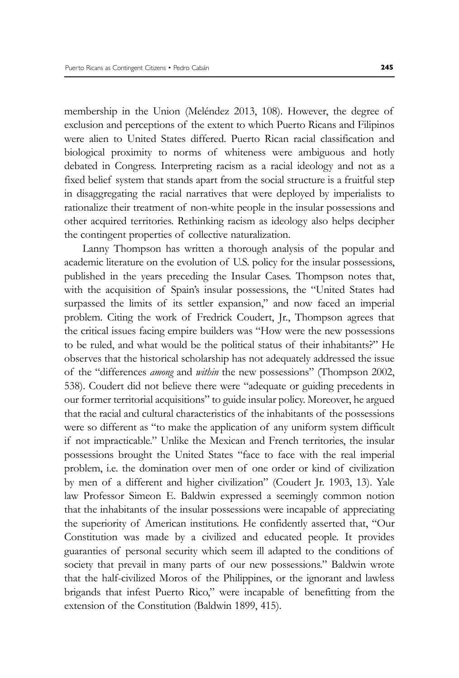membership in the Union (Meléndez 2013, 108). However, the degree of exclusion and perceptions of the extent to which Puerto Ricans and Filipinos were alien to United States differed. Puerto Rican racial classification and biological proximity to norms of whiteness were ambiguous and hotly debated in Congress. Interpreting racism as a racial ideology and not as a fixed belief system that stands apart from the social structure is a fruitful step in disaggregating the racial narratives that were deployed by imperialists to rationalize their treatment of non-white people in the insular possessions and other acquired territories. Rethinking racism as ideology also helps decipher the contingent properties of collective naturalization.

Lanny Thompson has written a thorough analysis of the popular and academic literature on the evolution of U.S. policy for the insular possessions, published in the years preceding the Insular Cases. Thompson notes that, with the acquisition of Spain's insular possessions, the "United States had surpassed the limits of its settler expansion," and now faced an imperial problem. Citing the work of Fredrick Coudert, Jr., Thompson agrees that the critical issues facing empire builders was "How were the new possessions to be ruled, and what would be the political status of their inhabitants?" He observes that the historical scholarship has not adequately addressed the issue of the "differences *among* and *within* the new possessions" (Thompson 2002, 538). Coudert did not believe there were "adequate or guiding precedents in our former territorial acquisitions" to guide insular policy. Moreover, he argued that the racial and cultural characteristics of the inhabitants of the possessions were so different as "to make the application of any uniform system difficult if not impracticable." Unlike the Mexican and French territories, the insular possessions brought the United States "face to face with the real imperial problem, i.e. the domination over men of one order or kind of civilization by men of a different and higher civilization" (Coudert Jr. 1903, 13). Yale law Professor Simeon E. Baldwin expressed a seemingly common notion that the inhabitants of the insular possessions were incapable of appreciating the superiority of American institutions. He confidently asserted that, "Our Constitution was made by a civilized and educated people. It provides guaranties of personal security which seem ill adapted to the conditions of society that prevail in many parts of our new possessions." Baldwin wrote that the half-civilized Moros of the Philippines, or the ignorant and lawless brigands that infest Puerto Rico," were incapable of benefitting from the extension of the Constitution (Baldwin 1899, 415).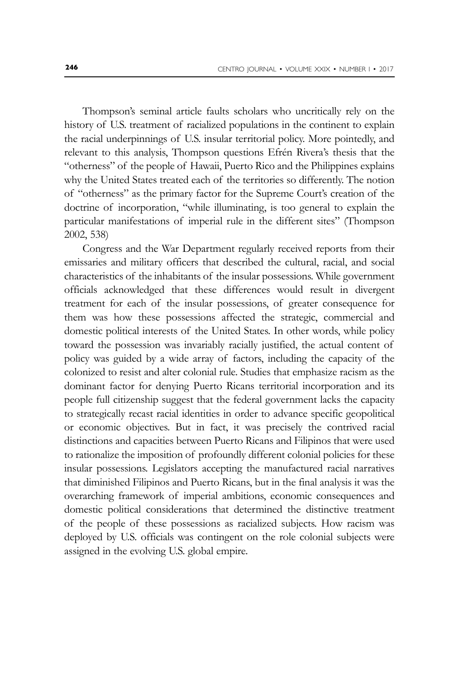Thompson's seminal article faults scholars who uncritically rely on the history of U.S. treatment of racialized populations in the continent to explain the racial underpinnings of U.S. insular territorial policy. More pointedly, and relevant to this analysis, Thompson questions Efrén Rivera's thesis that the "otherness" of the people of Hawaii, Puerto Rico and the Philippines explains why the United States treated each of the territories so differently. The notion of "otherness" as the primary factor for the Supreme Court's creation of the doctrine of incorporation, "while illuminating, is too general to explain the particular manifestations of imperial rule in the different sites" (Thompson 2002, 538)

Congress and the War Department regularly received reports from their emissaries and military officers that described the cultural, racial, and social characteristics of the inhabitants of the insular possessions. While government officials acknowledged that these differences would result in divergent treatment for each of the insular possessions, of greater consequence for them was how these possessions affected the strategic, commercial and domestic political interests of the United States. In other words, while policy toward the possession was invariably racially justified, the actual content of policy was guided by a wide array of factors, including the capacity of the colonized to resist and alter colonial rule. Studies that emphasize racism as the dominant factor for denying Puerto Ricans territorial incorporation and its people full citizenship suggest that the federal government lacks the capacity to strategically recast racial identities in order to advance specific geopolitical or economic objectives. But in fact, it was precisely the contrived racial distinctions and capacities between Puerto Ricans and Filipinos that were used to rationalize the imposition of profoundly different colonial policies for these insular possessions. Legislators accepting the manufactured racial narratives that diminished Filipinos and Puerto Ricans, but in the final analysis it was the overarching framework of imperial ambitions, economic consequences and domestic political considerations that determined the distinctive treatment of the people of these possessions as racialized subjects. How racism was deployed by U.S. officials was contingent on the role colonial subjects were assigned in the evolving U.S. global empire.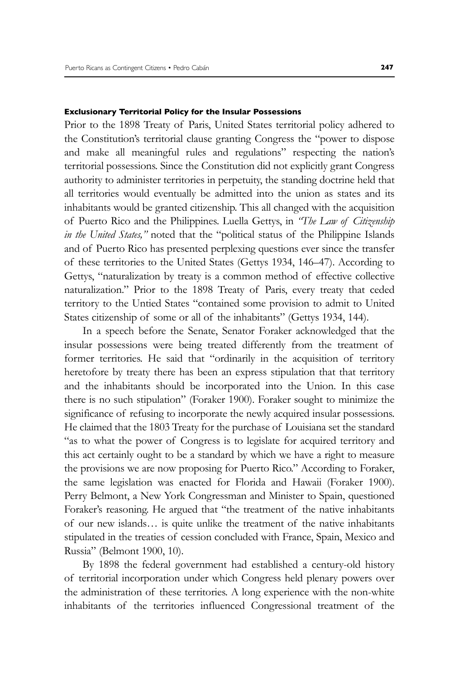#### **Exclusionary Territorial Policy for the Insular Possessions**

Prior to the 1898 Treaty of Paris, United States territorial policy adhered to the Constitution's territorial clause granting Congress the "power to dispose and make all meaningful rules and regulations" respecting the nation's territorial possessions. Since the Constitution did not explicitly grant Congress authority to administer territories in perpetuity, the standing doctrine held that all territories would eventually be admitted into the union as states and its inhabitants would be granted citizenship. This all changed with the acquisition of Puerto Rico and the Philippines. Luella Gettys, in *"The Law of Citizenship in the United States,"* noted that the "political status of the Philippine Islands and of Puerto Rico has presented perplexing questions ever since the transfer of these territories to the United States (Gettys 1934, 146–47). According to Gettys, "naturalization by treaty is a common method of effective collective naturalization." Prior to the 1898 Treaty of Paris, every treaty that ceded territory to the Untied States "contained some provision to admit to United States citizenship of some or all of the inhabitants" (Gettys 1934, 144).

In a speech before the Senate, Senator Foraker acknowledged that the insular possessions were being treated differently from the treatment of former territories. He said that "ordinarily in the acquisition of territory heretofore by treaty there has been an express stipulation that that territory and the inhabitants should be incorporated into the Union. In this case there is no such stipulation" (Foraker 1900). Foraker sought to minimize the significance of refusing to incorporate the newly acquired insular possessions. He claimed that the 1803 Treaty for the purchase of Louisiana set the standard "as to what the power of Congress is to legislate for acquired territory and this act certainly ought to be a standard by which we have a right to measure the provisions we are now proposing for Puerto Rico." According to Foraker, the same legislation was enacted for Florida and Hawaii (Foraker 1900). Perry Belmont, a New York Congressman and Minister to Spain, questioned Foraker's reasoning. He argued that "the treatment of the native inhabitants of our new islands… is quite unlike the treatment of the native inhabitants stipulated in the treaties of cession concluded with France, Spain, Mexico and Russia" (Belmont 1900, 10).

By 1898 the federal government had established a century-old history of territorial incorporation under which Congress held plenary powers over the administration of these territories. A long experience with the non-white inhabitants of the territories influenced Congressional treatment of the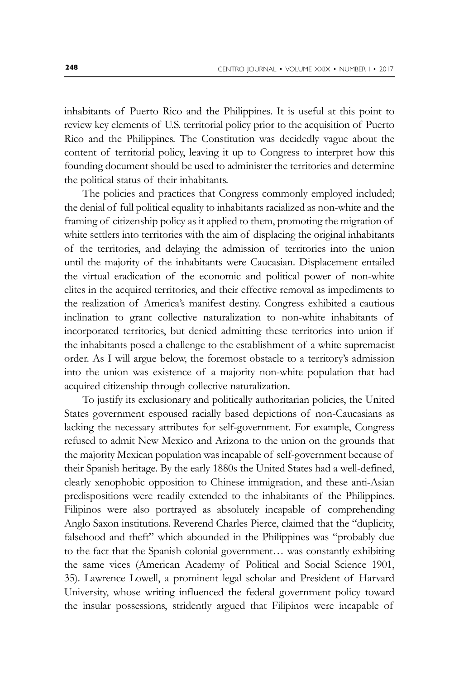inhabitants of Puerto Rico and the Philippines. It is useful at this point to review key elements of U.S. territorial policy prior to the acquisition of Puerto Rico and the Philippines. The Constitution was decidedly vague about the content of territorial policy, leaving it up to Congress to interpret how this founding document should be used to administer the territories and determine the political status of their inhabitants.

The policies and practices that Congress commonly employed included; the denial of full political equality to inhabitants racialized as non-white and the framing of citizenship policy as it applied to them, promoting the migration of white settlers into territories with the aim of displacing the original inhabitants of the territories, and delaying the admission of territories into the union until the majority of the inhabitants were Caucasian. Displacement entailed the virtual eradication of the economic and political power of non-white elites in the acquired territories, and their effective removal as impediments to the realization of America's manifest destiny. Congress exhibited a cautious inclination to grant collective naturalization to non-white inhabitants of incorporated territories, but denied admitting these territories into union if the inhabitants posed a challenge to the establishment of a white supremacist order. As I will argue below, the foremost obstacle to a territory's admission into the union was existence of a majority non-white population that had acquired citizenship through collective naturalization.

To justify its exclusionary and politically authoritarian policies, the United States government espoused racially based depictions of non-Caucasians as lacking the necessary attributes for self-government. For example, Congress refused to admit New Mexico and Arizona to the union on the grounds that the majority Mexican population was incapable of self-government because of their Spanish heritage. By the early 1880s the United States had a well-defined, clearly xenophobic opposition to Chinese immigration, and these anti-Asian predispositions were readily extended to the inhabitants of the Philippines. Filipinos were also portrayed as absolutely incapable of comprehending Anglo Saxon institutions. Reverend Charles Pierce, claimed that the "duplicity, falsehood and theft" which abounded in the Philippines was "probably due to the fact that the Spanish colonial government… was constantly exhibiting the same vices (American Academy of Political and Social Science 1901, 35). Lawrence Lowell, a prominent legal scholar and President of Harvard University, whose writing influenced the federal government policy toward the insular possessions, stridently argued that Filipinos were incapable of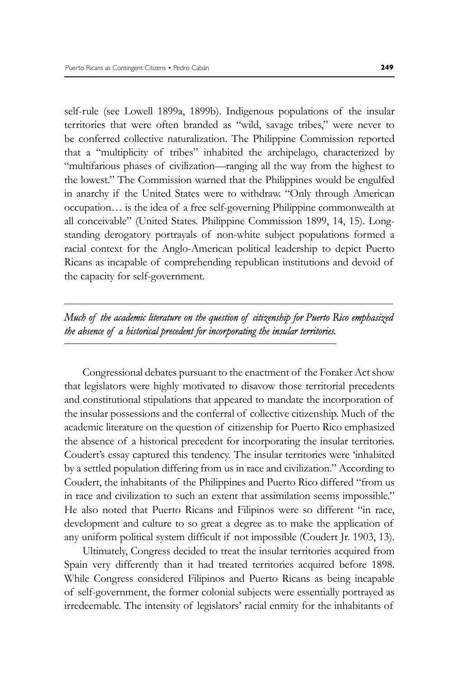self-rule (see Lowell 1899a, 1899b). Indigenous populations of the insular territories that were often branded as "wild, savage tribes," were never to be conferred collective naturalization. The Philippine Commission reported that a "multiplicity of tribes" inhabited the archipelago, characterized by "multifarious phases of civilization—ranging all the way from the highest to the lowest." The Commission warned that the Philippines would be engulfed in anarchy if the United States were to withdraw. "Only through American occupation… is the idea of a free self-governing Philippine commonwealth at all conceivable" (United States. Philippine Commission 1899, 14, 15). Longstanding derogatory portrayals of non-white subject populations formed a racial context for the Anglo-American political leadership to depict Puerto Ricans as incapable of comprehending republican institutions and devoid of the capacity for self-government.

## *Much of the academic literature on the question of citizenship for Puerto Rico emphasized the absence of a historical precedent for incorporating the insular territories.*

Congressional debates pursuant to the enactment of the Foraker Act show that legislators were highly motivated to disavow those territorial precedents and constitutional stipulations that appeared to mandate the incorporation of the insular possessions and the conferral of collective citizenship. Much of the academic literature on the question of citizenship for Puerto Rico emphasized the absence of a historical precedent for incorporating the insular territories. Coudert's essay captured this tendency. The insular territories were 'inhabited by a settled population differing from us in race and civilization." According to Coudert, the inhabitants of the Philippines and Puerto Rico differed "from us in race and civilization to such an extent that assimilation seems impossible." He also noted that Puerto Ricans and Filipinos were so different "in race, development and culture to so great a degree as to make the application of any uniform political system difficult if not impossible (Coudert Jr. 1903, 13).

Ultimately, Congress decided to treat the insular territories acquired from Spain very differently than it had treated territories acquired before 1898. While Congress considered Filipinos and Puerto Ricans as being incapable of self-government, the former colonial subjects were essentially portrayed as irredeemable. The intensity of legislators' racial enmity for the inhabitants of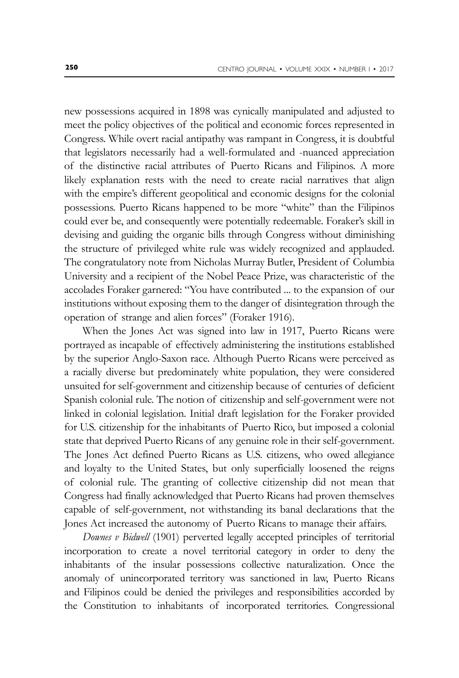new possessions acquired in 1898 was cynically manipulated and adjusted to meet the policy objectives of the political and economic forces represented in Congress. While overt racial antipathy was rampant in Congress, it is doubtful that legislators necessarily had a well-formulated and -nuanced appreciation of the distinctive racial attributes of Puerto Ricans and Filipinos. A more likely explanation rests with the need to create racial narratives that align with the empire's different geopolitical and economic designs for the colonial possessions. Puerto Ricans happened to be more "white" than the Filipinos could ever be, and consequently were potentially redeemable. Foraker's skill in devising and guiding the organic bills through Congress without diminishing the structure of privileged white rule was widely recognized and applauded. The congratulatory note from Nicholas Murray Butler, President of Columbia University and a recipient of the Nobel Peace Prize, was characteristic of the accolades Foraker garnered: "You have contributed ... to the expansion of our institutions without exposing them to the danger of disintegration through the operation of strange and alien forces" (Foraker 1916).

When the Jones Act was signed into law in 1917, Puerto Ricans were portrayed as incapable of effectively administering the institutions established by the superior Anglo-Saxon race. Although Puerto Ricans were perceived as a racially diverse but predominately white population, they were considered unsuited for self-government and citizenship because of centuries of deficient Spanish colonial rule. The notion of citizenship and self-government were not linked in colonial legislation. Initial draft legislation for the Foraker provided for U.S. citizenship for the inhabitants of Puerto Rico, but imposed a colonial state that deprived Puerto Ricans of any genuine role in their self-government. The Jones Act defined Puerto Ricans as U.S. citizens, who owed allegiance and loyalty to the United States, but only superficially loosened the reigns of colonial rule. The granting of collective citizenship did not mean that Congress had finally acknowledged that Puerto Ricans had proven themselves capable of self-government, not withstanding its banal declarations that the Jones Act increased the autonomy of Puerto Ricans to manage their affairs.

*Downes v Bidwell* (1901) perverted legally accepted principles of territorial incorporation to create a novel territorial category in order to deny the inhabitants of the insular possessions collective naturalization. Once the anomaly of unincorporated territory was sanctioned in law, Puerto Ricans and Filipinos could be denied the privileges and responsibilities accorded by the Constitution to inhabitants of incorporated territories. Congressional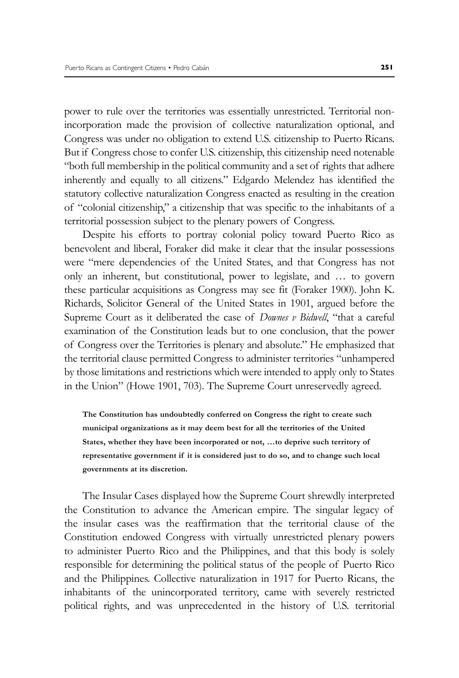power to rule over the territories was essentially unrestricted. Territorial nonincorporation made the provision of collective naturalization optional, and Congress was under no obligation to extend U.S. citizenship to Puerto Ricans. But if Congress chose to confer U.S. citizenship, this citizenship need notenable "both full membership in the political community and a set of rights that adhere inherently and equally to all citizens." Edgardo Melendez has identified the statutory collective naturalization Congress enacted as resulting in the creation of "colonial citizenship," a citizenship that was specific to the inhabitants of a territorial possession subject to the plenary powers of Congress.

Despite his efforts to portray colonial policy toward Puerto Rico as benevolent and liberal, Foraker did make it clear that the insular possessions were "mere dependencies of the United States, and that Congress has not only an inherent, but constitutional, power to legislate, and … to govern these particular acquisitions as Congress may see fit (Foraker 1900). John K. Richards, Solicitor General of the United States in 1901, argued before the Supreme Court as it deliberated the case of *Downes v Bidwell*, "that a careful examination of the Constitution leads but to one conclusion, that the power of Congress over the Territories is plenary and absolute." He emphasized that the territorial clause permitted Congress to administer territories "unhampered by those limitations and restrictions which were intended to apply only to States in the Union" (Howe 1901, 703). The Supreme Court unreservedly agreed.

**The Constitution has undoubtedly conferred on Congress the right to create such municipal organizations as it may deem best for all the territories of the United States, whether they have been incorporated or not, …to deprive such territory of representative government if it is considered just to do so, and to change such local governments at its discretion.**

The Insular Cases displayed how the Supreme Court shrewdly interpreted the Constitution to advance the American empire. The singular legacy of the insular cases was the reaffirmation that the territorial clause of the Constitution endowed Congress with virtually unrestricted plenary powers to administer Puerto Rico and the Philippines, and that this body is solely responsible for determining the political status of the people of Puerto Rico and the Philippines. Collective naturalization in 1917 for Puerto Ricans, the inhabitants of the unincorporated territory, came with severely restricted political rights, and was unprecedented in the history of U.S. territorial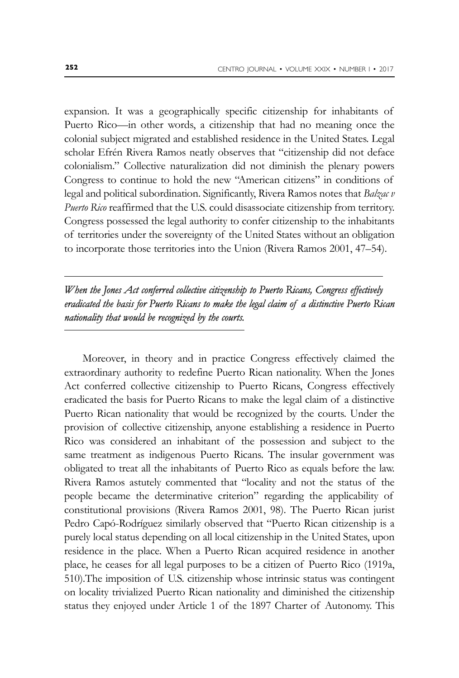expansion. It was a geographically specific citizenship for inhabitants of Puerto Rico—in other words, a citizenship that had no meaning once the colonial subject migrated and established residence in the United States. Legal scholar Efrén Rivera Ramos neatly observes that "citizenship did not deface colonialism." Collective naturalization did not diminish the plenary powers Congress to continue to hold the new "American citizens" in conditions of legal and political subordination. Significantly, Rivera Ramos notes that *Balzac v Puerto Rico* reaffirmed that the U.S. could disassociate citizenship from territory. Congress possessed the legal authority to confer citizenship to the inhabitants of territories under the sovereignty of the United States without an obligation to incorporate those territories into the Union (Rivera Ramos 2001, 47–54).

### *When the Jones Act conferred collective citizenship to Puerto Ricans, Congress effectively eradicated the basis for Puerto Ricans to make the legal claim of a distinctive Puerto Rican nationality that would be recognized by the courts.*

Moreover, in theory and in practice Congress effectively claimed the extraordinary authority to redefine Puerto Rican nationality. When the Jones Act conferred collective citizenship to Puerto Ricans, Congress effectively eradicated the basis for Puerto Ricans to make the legal claim of a distinctive Puerto Rican nationality that would be recognized by the courts. Under the provision of collective citizenship, anyone establishing a residence in Puerto Rico was considered an inhabitant of the possession and subject to the same treatment as indigenous Puerto Ricans. The insular government was obligated to treat all the inhabitants of Puerto Rico as equals before the law. Rivera Ramos astutely commented that "locality and not the status of the people became the determinative criterion" regarding the applicability of constitutional provisions (Rivera Ramos 2001, 98). The Puerto Rican jurist Pedro Capó-Rodríguez similarly observed that "Puerto Rican citizenship is a purely local status depending on all local citizenship in the United States, upon residence in the place. When a Puerto Rican acquired residence in another place, he ceases for all legal purposes to be a citizen of Puerto Rico (1919a, 510).The imposition of U.S. citizenship whose intrinsic status was contingent on locality trivialized Puerto Rican nationality and diminished the citizenship status they enjoyed under Article 1 of the 1897 Charter of Autonomy. This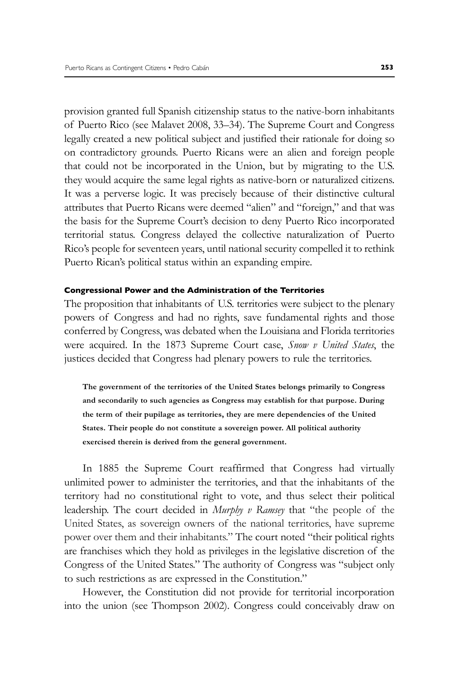provision granted full Spanish citizenship status to the native-born inhabitants of Puerto Rico (see Malavet 2008, 33–34). The Supreme Court and Congress legally created a new political subject and justified their rationale for doing so on contradictory grounds. Puerto Ricans were an alien and foreign people that could not be incorporated in the Union, but by migrating to the U.S. they would acquire the same legal rights as native-born or naturalized citizens. It was a perverse logic. It was precisely because of their distinctive cultural attributes that Puerto Ricans were deemed "alien" and "foreign," and that was the basis for the Supreme Court's decision to deny Puerto Rico incorporated territorial status. Congress delayed the collective naturalization of Puerto Rico's people for seventeen years, until national security compelled it to rethink Puerto Rican's political status within an expanding empire.

#### **Congressional Power and the Administration of the Territories**

The proposition that inhabitants of U.S. territories were subject to the plenary powers of Congress and had no rights, save fundamental rights and those conferred by Congress, was debated when the Louisiana and Florida territories were acquired. In the 1873 Supreme Court case, *Snow v United States*, the justices decided that Congress had plenary powers to rule the territories.

**The government of the territories of the United States belongs primarily to Congress and secondarily to such agencies as Congress may establish for that purpose. During the term of their pupilage as territories, they are mere dependencies of the United States. Their people do not constitute a sovereign power. All political authority exercised therein is derived from the general government.**

In 1885 the Supreme Court reaffirmed that Congress had virtually unlimited power to administer the territories, and that the inhabitants of the territory had no constitutional right to vote, and thus select their political leadership. The court decided in *Murphy v Ramsey* that "the people of the United States, as sovereign owners of the national territories, have supreme power over them and their inhabitants." The court noted "their political rights are franchises which they hold as privileges in the legislative discretion of the Congress of the United States." The authority of Congress was "subject only to such restrictions as are expressed in the Constitution."

However, the Constitution did not provide for territorial incorporation into the union (see Thompson 2002). Congress could conceivably draw on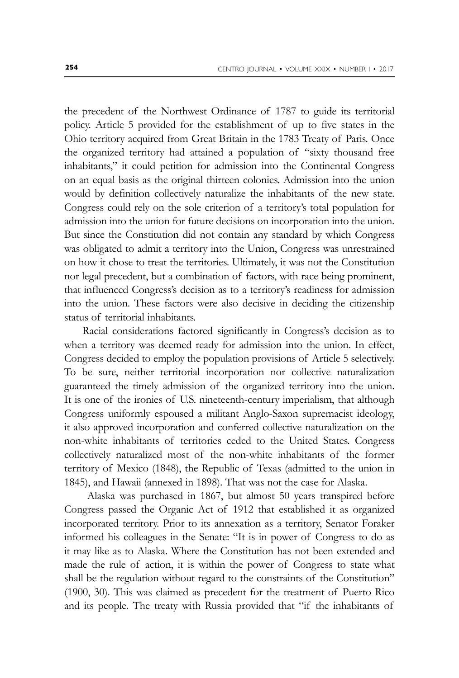the precedent of the Northwest Ordinance of 1787 to guide its territorial policy. Article 5 provided for the establishment of up to five states in the Ohio territory acquired from Great Britain in the 1783 Treaty of Paris. Once the organized territory had attained a population of "sixty thousand free inhabitants," it could petition for admission into the Continental Congress on an equal basis as the original thirteen colonies. Admission into the union would by definition collectively naturalize the inhabitants of the new state. Congress could rely on the sole criterion of a territory's total population for admission into the union for future decisions on incorporation into the union. But since the Constitution did not contain any standard by which Congress was obligated to admit a territory into the Union, Congress was unrestrained on how it chose to treat the territories. Ultimately, it was not the Constitution nor legal precedent, but a combination of factors, with race being prominent, that influenced Congress's decision as to a territory's readiness for admission into the union. These factors were also decisive in deciding the citizenship status of territorial inhabitants.

Racial considerations factored significantly in Congress's decision as to when a territory was deemed ready for admission into the union. In effect, Congress decided to employ the population provisions of Article 5 selectively. To be sure, neither territorial incorporation nor collective naturalization guaranteed the timely admission of the organized territory into the union. It is one of the ironies of U.S. nineteenth-century imperialism, that although Congress uniformly espoused a militant Anglo-Saxon supremacist ideology, it also approved incorporation and conferred collective naturalization on the non-white inhabitants of territories ceded to the United States. Congress collectively naturalized most of the non-white inhabitants of the former territory of Mexico (1848), the Republic of Texas (admitted to the union in 1845), and Hawaii (annexed in 1898). That was not the case for Alaska.

 Alaska was purchased in 1867, but almost 50 years transpired before Congress passed the Organic Act of 1912 that established it as organized incorporated territory. Prior to its annexation as a territory, Senator Foraker informed his colleagues in the Senate: "It is in power of Congress to do as it may like as to Alaska. Where the Constitution has not been extended and made the rule of action, it is within the power of Congress to state what shall be the regulation without regard to the constraints of the Constitution" (1900, 30). This was claimed as precedent for the treatment of Puerto Rico and its people. The treaty with Russia provided that "if the inhabitants of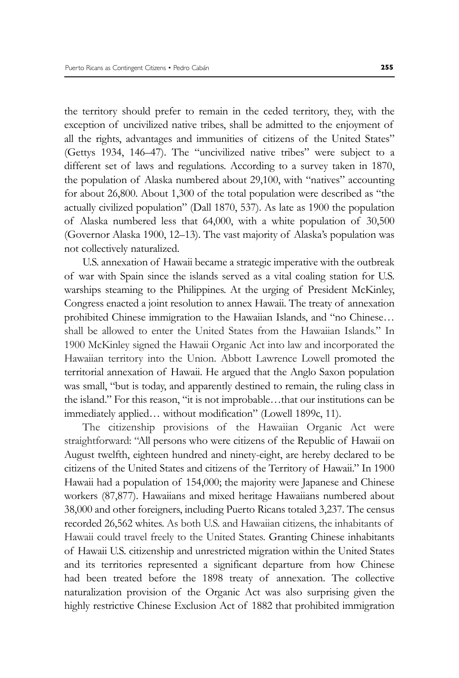the territory should prefer to remain in the ceded territory, they, with the exception of uncivilized native tribes, shall be admitted to the enjoyment of all the rights, advantages and immunities of citizens of the United States" (Gettys 1934, 146–47). The "uncivilized native tribes" were subject to a different set of laws and regulations. According to a survey taken in 1870, the population of Alaska numbered about 29,100, with "natives" accounting for about 26,800. About 1,300 of the total population were described as "the actually civilized population" (Dall 1870, 537). As late as 1900 the population of Alaska numbered less that 64,000, with a white population of 30,500 (Governor Alaska 1900, 12–13). The vast majority of Alaska's population was not collectively naturalized.

U.S. annexation of Hawaii became a strategic imperative with the outbreak of war with Spain since the islands served as a vital coaling station for U.S. warships steaming to the Philippines. At the urging of President McKinley, Congress enacted a joint resolution to annex Hawaii. The treaty of annexation prohibited Chinese immigration to the Hawaiian Islands, and "no Chinese… shall be allowed to enter the United States from the Hawaiian Islands." In 1900 McKinley signed the Hawaii Organic Act into law and incorporated the Hawaiian territory into the Union. Abbott Lawrence Lowell promoted the territorial annexation of Hawaii. He argued that the Anglo Saxon population was small, "but is today, and apparently destined to remain, the ruling class in the island." For this reason, "it is not improbable…that our institutions can be immediately applied… without modification" (Lowell 1899c, 11).

The citizenship provisions of the Hawaiian Organic Act were straightforward: "All persons who were citizens of the Republic of Hawaii on August twelfth, eighteen hundred and ninety-eight, are hereby declared to be citizens of the United States and citizens of the Territory of Hawaii." In 1900 Hawaii had a population of 154,000; the majority were Japanese and Chinese workers (87,877). Hawaiians and mixed heritage Hawaiians numbered about 38,000 and other foreigners, including Puerto Ricans totaled 3,237. The census recorded 26,562 whites. As both U.S. and Hawaiian citizens, the inhabitants of Hawaii could travel freely to the United States. Granting Chinese inhabitants of Hawaii U.S. citizenship and unrestricted migration within the United States and its territories represented a significant departure from how Chinese had been treated before the 1898 treaty of annexation. The collective naturalization provision of the Organic Act was also surprising given the highly restrictive Chinese Exclusion Act of 1882 that prohibited immigration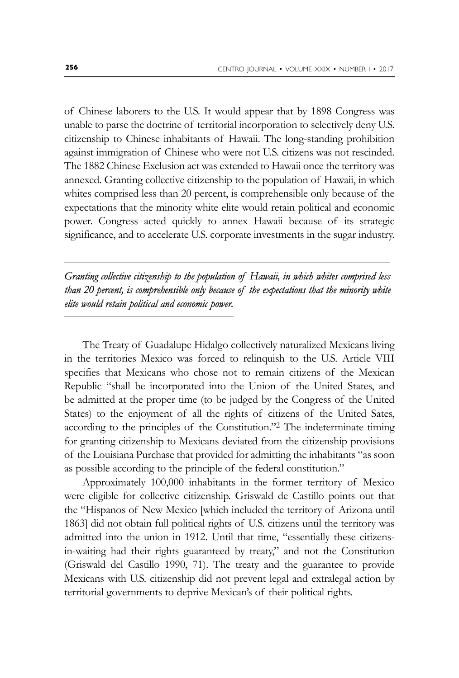of Chinese laborers to the U.S. It would appear that by 1898 Congress was unable to parse the doctrine of territorial incorporation to selectively deny U.S. citizenship to Chinese inhabitants of Hawaii. The long-standing prohibition against immigration of Chinese who were not U.S. citizens was not rescinded. The 1882 Chinese Exclusion act was extended to Hawaii once the territory was annexed. Granting collective citizenship to the population of Hawaii, in which whites comprised less than 20 percent, is comprehensible only because of the expectations that the minority white elite would retain political and economic power. Congress acted quickly to annex Hawaii because of its strategic significance, and to accelerate U.S. corporate investments in the sugar industry.

## *Granting collective citizenship to the population of Hawaii, in which whites comprised less than 20 percent, is comprehensible only because of the expectations that the minority white elite would retain political and economic power.*

The Treaty of Guadalupe Hidalgo collectively naturalized Mexicans living in the territories Mexico was forced to relinquish to the U.S. Article VIII specifies that Mexicans who chose not to remain citizens of the Mexican Republic "shall be incorporated into the Union of the United States, and be admitted at the proper time (to be judged by the Congress of the United States) to the enjoyment of all the rights of citizens of the United Sates, according to the principles of the Constitution."2 The indeterminate timing for granting citizenship to Mexicans deviated from the citizenship provisions of the Louisiana Purchase that provided for admitting the inhabitants "as soon as possible according to the principle of the federal constitution."

Approximately 100,000 inhabitants in the former territory of Mexico were eligible for collective citizenship. Griswald de Castillo points out that the "Hispanos of New Mexico [which included the territory of Arizona until 1863] did not obtain full political rights of U.S. citizens until the territory was admitted into the union in 1912. Until that time, "essentially these citizensin-waiting had their rights guaranteed by treaty," and not the Constitution (Griswald del Castillo 1990, 71). The treaty and the guarantee to provide Mexicans with U.S. citizenship did not prevent legal and extralegal action by territorial governments to deprive Mexican's of their political rights.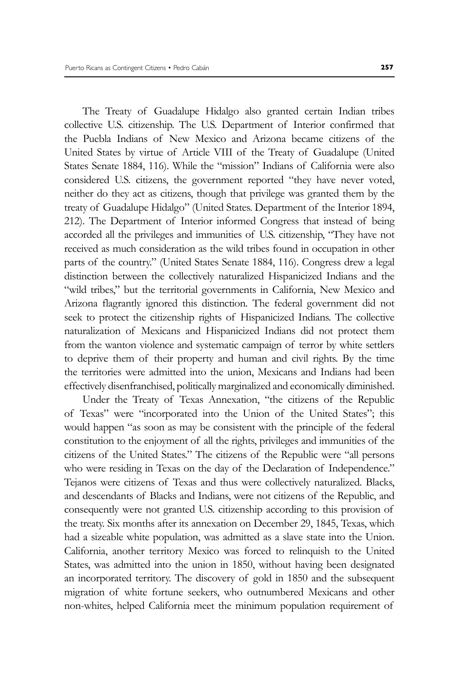The Treaty of Guadalupe Hidalgo also granted certain Indian tribes collective U.S. citizenship. The U.S. Department of Interior confirmed that the Puebla Indians of New Mexico and Arizona became citizens of the United States by virtue of Article VIII of the Treaty of Guadalupe (United States Senate 1884, 116). While the "mission" Indians of California were also considered U.S. citizens, the government reported "they have never voted, neither do they act as citizens, though that privilege was granted them by the treaty of Guadalupe Hidalgo" (United States. Department of the Interior 1894, 212). The Department of Interior informed Congress that instead of being accorded all the privileges and immunities of U.S. citizenship, "They have not received as much consideration as the wild tribes found in occupation in other parts of the country." (United States Senate 1884, 116). Congress drew a legal distinction between the collectively naturalized Hispanicized Indians and the "wild tribes," but the territorial governments in California, New Mexico and Arizona flagrantly ignored this distinction. The federal government did not seek to protect the citizenship rights of Hispanicized Indians. The collective naturalization of Mexicans and Hispanicized Indians did not protect them from the wanton violence and systematic campaign of terror by white settlers to deprive them of their property and human and civil rights. By the time the territories were admitted into the union, Mexicans and Indians had been effectively disenfranchised, politically marginalized and economically diminished.

Under the Treaty of Texas Annexation, "the citizens of the Republic of Texas" were "incorporated into the Union of the United States"; this would happen "as soon as may be consistent with the principle of the federal constitution to the enjoyment of all the rights, privileges and immunities of the citizens of the United States." The citizens of the Republic were "all persons who were residing in Texas on the day of the Declaration of Independence." Tejanos were citizens of Texas and thus were collectively naturalized. Blacks, and descendants of Blacks and Indians, were not citizens of the Republic, and consequently were not granted U.S. citizenship according to this provision of the treaty. Six months after its annexation on December 29, 1845, Texas, which had a sizeable white population, was admitted as a slave state into the Union. California, another territory Mexico was forced to relinquish to the United States, was admitted into the union in 1850, without having been designated an incorporated territory. The discovery of gold in 1850 and the subsequent migration of white fortune seekers, who outnumbered Mexicans and other non-whites, helped California meet the minimum population requirement of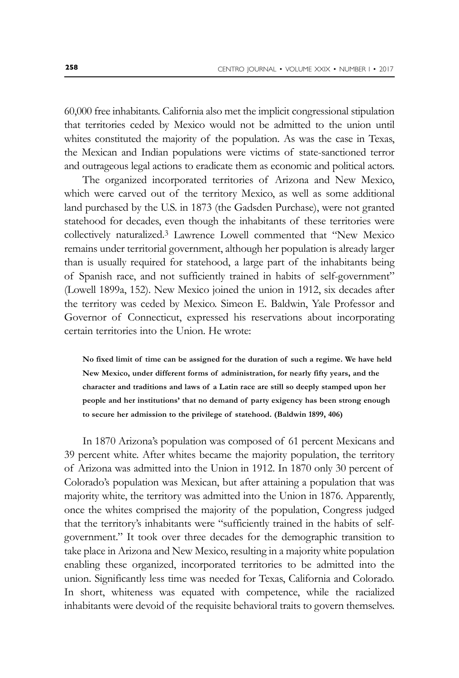60,000 free inhabitants. California also met the implicit congressional stipulation that territories ceded by Mexico would not be admitted to the union until whites constituted the majority of the population. As was the case in Texas, the Mexican and Indian populations were victims of state-sanctioned terror and outrageous legal actions to eradicate them as economic and political actors.

The organized incorporated territories of Arizona and New Mexico, which were carved out of the territory Mexico, as well as some additional land purchased by the U.S. in 1873 (the Gadsden Purchase), were not granted statehood for decades, even though the inhabitants of these territories were collectively naturalized.3 Lawrence Lowell commented that "New Mexico remains under territorial government, although her population is already larger than is usually required for statehood, a large part of the inhabitants being of Spanish race, and not sufficiently trained in habits of self-government" (Lowell 1899a, 152). New Mexico joined the union in 1912, six decades after the territory was ceded by Mexico. Simeon E. Baldwin, Yale Professor and Governor of Connecticut, expressed his reservations about incorporating certain territories into the Union. He wrote:

**No fixed limit of time can be assigned for the duration of such a regime. We have held New Mexico, under different forms of administration, for nearly fifty years, and the character and traditions and laws of a Latin race are still so deeply stamped upon her people and her institutions' that no demand of party exigency has been strong enough to secure her admission to the privilege of statehood. (Baldwin 1899, 406)**

In 1870 Arizona's population was composed of 61 percent Mexicans and 39 percent white. After whites became the majority population, the territory of Arizona was admitted into the Union in 1912. In 1870 only 30 percent of Colorado's population was Mexican, but after attaining a population that was majority white, the territory was admitted into the Union in 1876. Apparently, once the whites comprised the majority of the population, Congress judged that the territory's inhabitants were "sufficiently trained in the habits of selfgovernment." It took over three decades for the demographic transition to take place in Arizona and New Mexico, resulting in a majority white population enabling these organized, incorporated territories to be admitted into the union. Significantly less time was needed for Texas, California and Colorado. In short, whiteness was equated with competence, while the racialized inhabitants were devoid of the requisite behavioral traits to govern themselves.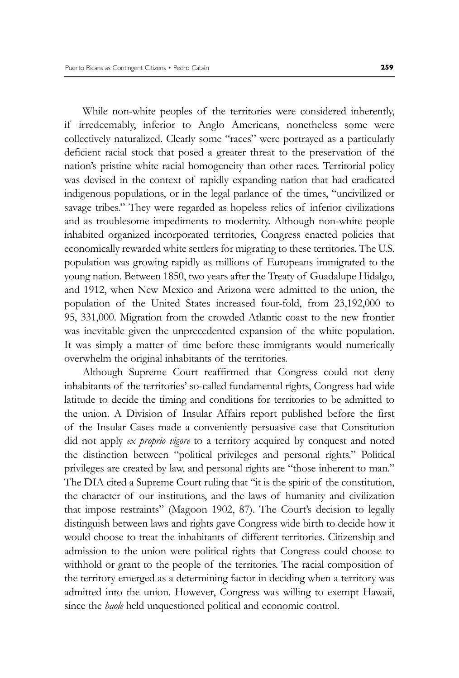While non-white peoples of the territories were considered inherently, if irredeemably, inferior to Anglo Americans, nonetheless some were collectively naturalized. Clearly some "races" were portrayed as a particularly deficient racial stock that posed a greater threat to the preservation of the nation's pristine white racial homogeneity than other races. Territorial policy was devised in the context of rapidly expanding nation that had eradicated indigenous populations, or in the legal parlance of the times, "uncivilized or savage tribes." They were regarded as hopeless relics of inferior civilizations and as troublesome impediments to modernity. Although non-white people inhabited organized incorporated territories, Congress enacted policies that economically rewarded white settlers for migrating to these territories. The U.S. population was growing rapidly as millions of Europeans immigrated to the young nation. Between 1850, two years after the Treaty of Guadalupe Hidalgo, and 1912, when New Mexico and Arizona were admitted to the union, the population of the United States increased four-fold, from 23,192,000 to 95, 331,000. Migration from the crowded Atlantic coast to the new frontier was inevitable given the unprecedented expansion of the white population. It was simply a matter of time before these immigrants would numerically overwhelm the original inhabitants of the territories.

Although Supreme Court reaffirmed that Congress could not deny inhabitants of the territories' so-called fundamental rights, Congress had wide latitude to decide the timing and conditions for territories to be admitted to the union. A Division of Insular Affairs report published before the first of the Insular Cases made a conveniently persuasive case that Constitution did not apply *ex proprio vigore* to a territory acquired by conquest and noted the distinction between "political privileges and personal rights." Political privileges are created by law, and personal rights are "those inherent to man." The DIA cited a Supreme Court ruling that "it is the spirit of the constitution, the character of our institutions, and the laws of humanity and civilization that impose restraints" (Magoon 1902, 87). The Court's decision to legally distinguish between laws and rights gave Congress wide birth to decide how it would choose to treat the inhabitants of different territories. Citizenship and admission to the union were political rights that Congress could choose to withhold or grant to the people of the territories. The racial composition of the territory emerged as a determining factor in deciding when a territory was admitted into the union. However, Congress was willing to exempt Hawaii, since the *haole* held unquestioned political and economic control.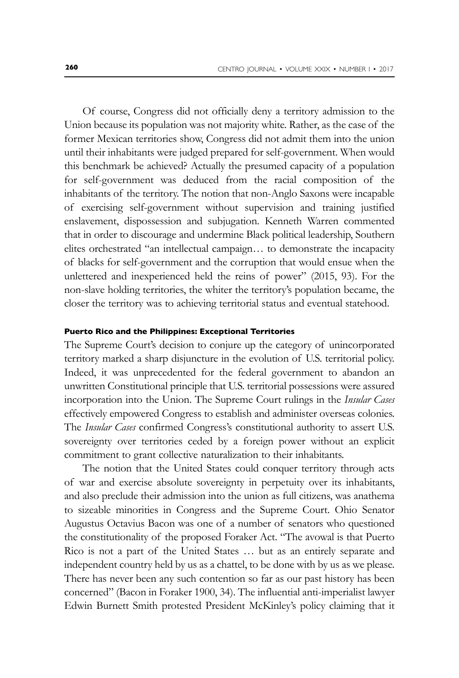Of course, Congress did not officially deny a territory admission to the Union because its population was not majority white. Rather, as the case of the former Mexican territories show, Congress did not admit them into the union until their inhabitants were judged prepared for self-government. When would this benchmark be achieved? Actually the presumed capacity of a population for self-government was deduced from the racial composition of the inhabitants of the territory. The notion that non-Anglo Saxons were incapable of exercising self-government without supervision and training justified enslavement, dispossession and subjugation. Kenneth Warren commented that in order to discourage and undermine Black political leadership, Southern elites orchestrated "an intellectual campaign… to demonstrate the incapacity of blacks for self-government and the corruption that would ensue when the unlettered and inexperienced held the reins of power" (2015, 93). For the non-slave holding territories, the whiter the territory's population became, the closer the territory was to achieving territorial status and eventual statehood.

#### **Puerto Rico and the Philippines: Exceptional Territories**

The Supreme Court's decision to conjure up the category of unincorporated territory marked a sharp disjuncture in the evolution of U.S. territorial policy. Indeed, it was unprecedented for the federal government to abandon an unwritten Constitutional principle that U.S. territorial possessions were assured incorporation into the Union. The Supreme Court rulings in the *Insular Cases* effectively empowered Congress to establish and administer overseas colonies. The *Insular Cases* confirmed Congress's constitutional authority to assert U.S. sovereignty over territories ceded by a foreign power without an explicit commitment to grant collective naturalization to their inhabitants.

The notion that the United States could conquer territory through acts of war and exercise absolute sovereignty in perpetuity over its inhabitants, and also preclude their admission into the union as full citizens, was anathema to sizeable minorities in Congress and the Supreme Court. Ohio Senator Augustus Octavius Bacon was one of a number of senators who questioned the constitutionality of the proposed Foraker Act. "The avowal is that Puerto Rico is not a part of the United States … but as an entirely separate and independent country held by us as a chattel, to be done with by us as we please. There has never been any such contention so far as our past history has been concerned" (Bacon in Foraker 1900, 34). The influential anti-imperialist lawyer Edwin Burnett Smith protested President McKinley's policy claiming that it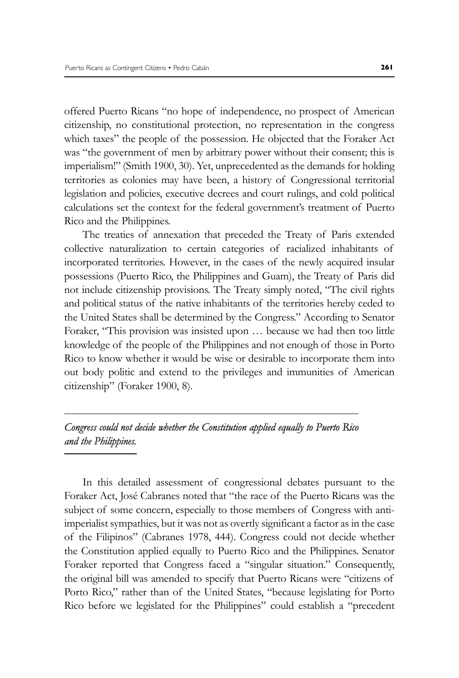offered Puerto Ricans "no hope of independence, no prospect of American citizenship, no constitutional protection, no representation in the congress which taxes" the people of the possession. He objected that the Foraker Act was "the government of men by arbitrary power without their consent; this is imperialism!" (Smith 1900, 30). Yet, unprecedented as the demands for holding territories as colonies may have been, a history of Congressional territorial legislation and policies, executive decrees and court rulings, and cold political calculations set the context for the federal government's treatment of Puerto Rico and the Philippines.

The treaties of annexation that preceded the Treaty of Paris extended collective naturalization to certain categories of racialized inhabitants of incorporated territories. However, in the cases of the newly acquired insular possessions (Puerto Rico, the Philippines and Guam), the Treaty of Paris did not include citizenship provisions. The Treaty simply noted, "The civil rights and political status of the native inhabitants of the territories hereby ceded to the United States shall be determined by the Congress." According to Senator Foraker, "This provision was insisted upon … because we had then too little knowledge of the people of the Philippines and not enough of those in Porto Rico to know whether it would be wise or desirable to incorporate them into out body politic and extend to the privileges and immunities of American citizenship" (Foraker 1900, 8).

## *Congress could not decide whether the Constitution applied equally to Puerto Rico and the Philippines.*

In this detailed assessment of congressional debates pursuant to the Foraker Act, José Cabranes noted that "the race of the Puerto Ricans was the subject of some concern, especially to those members of Congress with antiimperialist sympathies, but it was not as overtly significant a factor as in the case of the Filipinos" (Cabranes 1978, 444). Congress could not decide whether the Constitution applied equally to Puerto Rico and the Philippines. Senator Foraker reported that Congress faced a "singular situation." Consequently, the original bill was amended to specify that Puerto Ricans were "citizens of Porto Rico," rather than of the United States, "because legislating for Porto Rico before we legislated for the Philippines" could establish a "precedent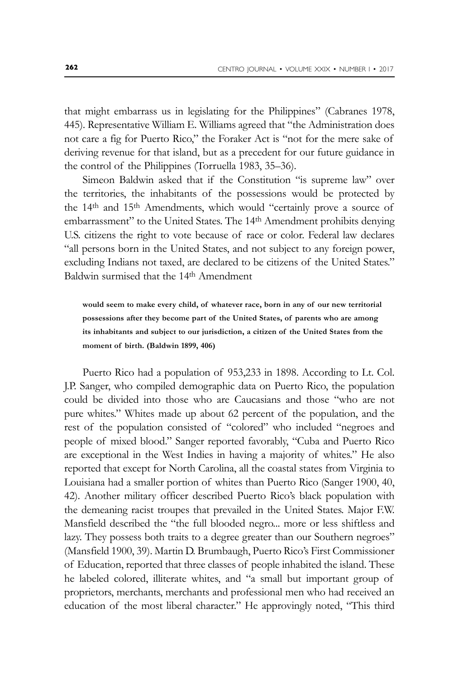that might embarrass us in legislating for the Philippines" (Cabranes 1978, 445). Representative William E. Williams agreed that "the Administration does not care a fig for Puerto Rico," the Foraker Act is "not for the mere sake of deriving revenue for that island, but as a precedent for our future guidance in the control of the Philippines (Torruella 1983, 35–36).

Simeon Baldwin asked that if the Constitution "is supreme law" over the territories, the inhabitants of the possessions would be protected by the 14<sup>th</sup> and 15<sup>th</sup> Amendments, which would "certainly prove a source of embarrassment" to the United States. The 14<sup>th</sup> Amendment prohibits denying U.S. citizens the right to vote because of race or color. Federal law declares "all persons born in the United States, and not subject to any foreign power, excluding Indians not taxed, are declared to be citizens of the United States." Baldwin surmised that the 14th Amendment

**would seem to make every child, of whatever race, born in any of our new territorial possessions after they become part of the United States, of parents who are among its inhabitants and subject to our jurisdiction, a citizen of the United States from the moment of birth. (Baldwin 1899, 406)**

Puerto Rico had a population of 953,233 in 1898. According to Lt. Col. J.P. Sanger, who compiled demographic data on Puerto Rico, the population could be divided into those who are Caucasians and those "who are not pure whites." Whites made up about 62 percent of the population, and the rest of the population consisted of "colored" who included "negroes and people of mixed blood." Sanger reported favorably, "Cuba and Puerto Rico are exceptional in the West Indies in having a majority of whites." He also reported that except for North Carolina, all the coastal states from Virginia to Louisiana had a smaller portion of whites than Puerto Rico (Sanger 1900, 40, 42). Another military officer described Puerto Rico's black population with the demeaning racist troupes that prevailed in the United States. Major F.W. Mansfield described the "the full blooded negro... more or less shiftless and lazy. They possess both traits to a degree greater than our Southern negroes" (Mansfield 1900, 39). Martin D. Brumbaugh, Puerto Rico's First Commissioner of Education, reported that three classes of people inhabited the island. These he labeled colored, illiterate whites, and "a small but important group of proprietors, merchants, merchants and professional men who had received an education of the most liberal character." He approvingly noted, "This third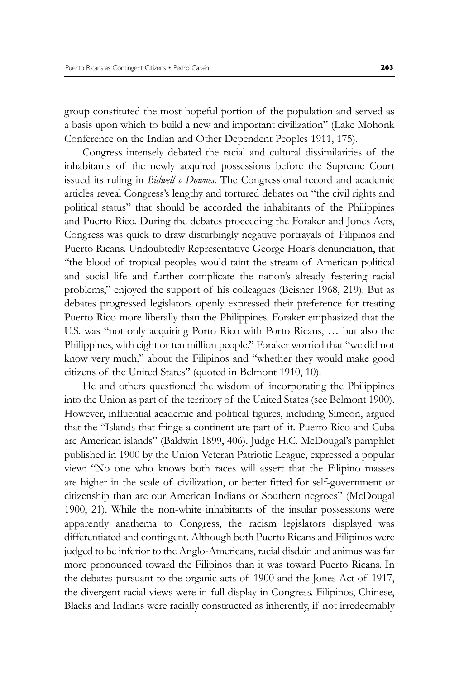group constituted the most hopeful portion of the population and served as a basis upon which to build a new and important civilization" (Lake Mohonk Conference on the Indian and Other Dependent Peoples 1911, 175).

Congress intensely debated the racial and cultural dissimilarities of the inhabitants of the newly acquired possessions before the Supreme Court issued its ruling in *Bidwell v Downes*. The Congressional record and academic articles reveal Congress's lengthy and tortured debates on "the civil rights and political status" that should be accorded the inhabitants of the Philippines and Puerto Rico. During the debates proceeding the Foraker and Jones Acts, Congress was quick to draw disturbingly negative portrayals of Filipinos and Puerto Ricans. Undoubtedly Representative George Hoar's denunciation, that "the blood of tropical peoples would taint the stream of American political and social life and further complicate the nation's already festering racial problems," enjoyed the support of his colleagues (Beisner 1968, 219). But as debates progressed legislators openly expressed their preference for treating Puerto Rico more liberally than the Philippines. Foraker emphasized that the U.S. was "not only acquiring Porto Rico with Porto Ricans, … but also the Philippines, with eight or ten million people." Foraker worried that "we did not know very much," about the Filipinos and "whether they would make good citizens of the United States" (quoted in Belmont 1910, 10).

He and others questioned the wisdom of incorporating the Philippines into the Union as part of the territory of the United States (see Belmont 1900). However, influential academic and political figures, including Simeon, argued that the "Islands that fringe a continent are part of it. Puerto Rico and Cuba are American islands" (Baldwin 1899, 406). Judge H.C. McDougal's pamphlet published in 1900 by the Union Veteran Patriotic League, expressed a popular view: "No one who knows both races will assert that the Filipino masses are higher in the scale of civilization, or better fitted for self-government or citizenship than are our American Indians or Southern negroes" (McDougal 1900, 21). While the non-white inhabitants of the insular possessions were apparently anathema to Congress, the racism legislators displayed was differentiated and contingent. Although both Puerto Ricans and Filipinos were judged to be inferior to the Anglo-Americans, racial disdain and animus was far more pronounced toward the Filipinos than it was toward Puerto Ricans. In the debates pursuant to the organic acts of 1900 and the Jones Act of 1917, the divergent racial views were in full display in Congress. Filipinos, Chinese, Blacks and Indians were racially constructed as inherently, if not irredeemably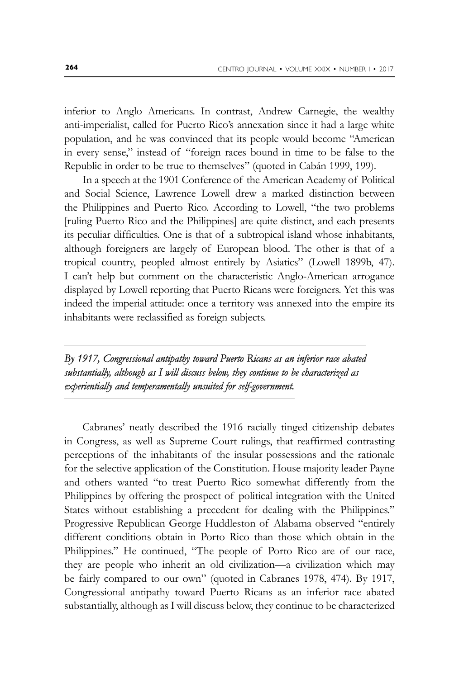inferior to Anglo Americans. In contrast, Andrew Carnegie, the wealthy anti-imperialist, called for Puerto Rico's annexation since it had a large white population, and he was convinced that its people would become "American in every sense," instead of "foreign races bound in time to be false to the Republic in order to be true to themselves" (quoted in Cabán 1999, 199).

In a speech at the 1901 Conference of the American Academy of Political and Social Science, Lawrence Lowell drew a marked distinction between the Philippines and Puerto Rico. According to Lowell, "the two problems [ruling Puerto Rico and the Philippines] are quite distinct, and each presents its peculiar difficulties. One is that of a subtropical island whose inhabitants, although foreigners are largely of European blood. The other is that of a tropical country, peopled almost entirely by Asiatics" (Lowell 1899b, 47). I can't help but comment on the characteristic Anglo-American arrogance displayed by Lowell reporting that Puerto Ricans were foreigners. Yet this was indeed the imperial attitude: once a territory was annexed into the empire its inhabitants were reclassified as foreign subjects.

*By 1917, Congressional antipathy toward Puerto Ricans as an inferior race abated*  substantially, although as I will discuss below, they continue to be characterized as *experientially and temperamentally unsuited for self-government.*

Cabranes' neatly described the 1916 racially tinged citizenship debates in Congress, as well as Supreme Court rulings, that reaffirmed contrasting perceptions of the inhabitants of the insular possessions and the rationale for the selective application of the Constitution. House majority leader Payne and others wanted "to treat Puerto Rico somewhat differently from the Philippines by offering the prospect of political integration with the United States without establishing a precedent for dealing with the Philippines." Progressive Republican George Huddleston of Alabama observed "entirely different conditions obtain in Porto Rico than those which obtain in the Philippines." He continued, "The people of Porto Rico are of our race, they are people who inherit an old civilization—a civilization which may be fairly compared to our own" (quoted in Cabranes 1978, 474). By 1917, Congressional antipathy toward Puerto Ricans as an inferior race abated substantially, although as I will discuss below, they continue to be characterized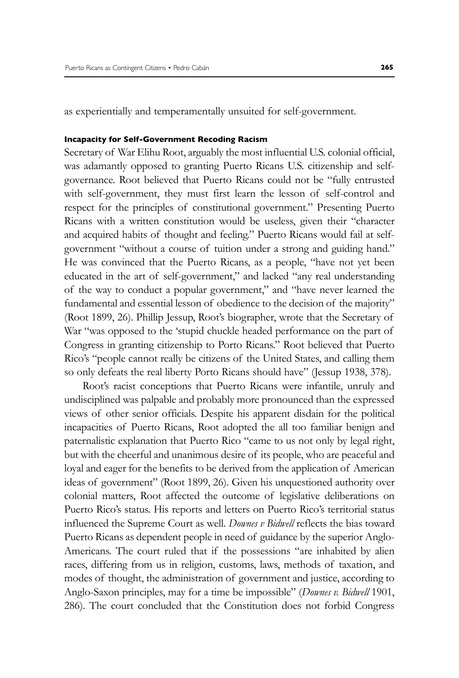as experientially and temperamentally unsuited for self-government.

#### **Incapacity for Self-Government Recoding Racism**

Secretary of War Elihu Root, arguably the most influential U.S. colonial official, was adamantly opposed to granting Puerto Ricans U.S. citizenship and selfgovernance. Root believed that Puerto Ricans could not be "fully entrusted with self-government, they must first learn the lesson of self-control and respect for the principles of constitutional government." Presenting Puerto Ricans with a written constitution would be useless, given their "character and acquired habits of thought and feeling." Puerto Ricans would fail at selfgovernment "without a course of tuition under a strong and guiding hand." He was convinced that the Puerto Ricans, as a people, "have not yet been educated in the art of self-government," and lacked "any real understanding of the way to conduct a popular government," and "have never learned the fundamental and essential lesson of obedience to the decision of the majority" (Root 1899, 26). Phillip Jessup, Root's biographer, wrote that the Secretary of War "was opposed to the 'stupid chuckle headed performance on the part of Congress in granting citizenship to Porto Ricans." Root believed that Puerto Rico's "people cannot really be citizens of the United States, and calling them so only defeats the real liberty Porto Ricans should have" (Jessup 1938, 378).

Root's racist conceptions that Puerto Ricans were infantile, unruly and undisciplined was palpable and probably more pronounced than the expressed views of other senior officials. Despite his apparent disdain for the political incapacities of Puerto Ricans, Root adopted the all too familiar benign and paternalistic explanation that Puerto Rico "came to us not only by legal right, but with the cheerful and unanimous desire of its people, who are peaceful and loyal and eager for the benefits to be derived from the application of American ideas of government" (Root 1899, 26). Given his unquestioned authority over colonial matters, Root affected the outcome of legislative deliberations on Puerto Rico's status. His reports and letters on Puerto Rico's territorial status influenced the Supreme Court as well. *Downes v Bidwell* reflects the bias toward Puerto Ricans as dependent people in need of guidance by the superior Anglo-Americans. The court ruled that if the possessions "are inhabited by alien races, differing from us in religion, customs, laws, methods of taxation, and modes of thought, the administration of government and justice, according to Anglo-Saxon principles, may for a time be impossible" (*Downes v. Bidwell* 1901, 286). The court concluded that the Constitution does not forbid Congress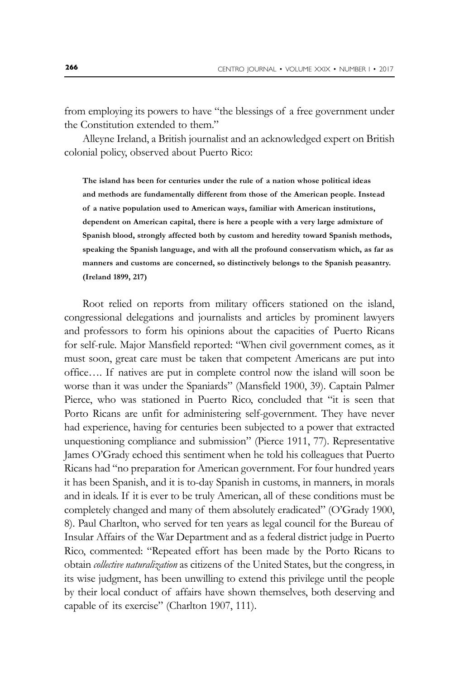from employing its powers to have "the blessings of a free government under the Constitution extended to them."

Alleyne Ireland, a British journalist and an acknowledged expert on British colonial policy, observed about Puerto Rico:

**The island has been for centuries under the rule of a nation whose political ideas and methods are fundamentally different from those of the American people. Instead of a native population used to American ways, familiar with American institutions, dependent on American capital, there is here a people with a very large admixture of Spanish blood, strongly affected both by custom and heredity toward Spanish methods, speaking the Spanish language, and with all the profound conservatism which, as far as manners and customs are concerned, so distinctively belongs to the Spanish peasantry. (Ireland 1899, 217)**

Root relied on reports from military officers stationed on the island, congressional delegations and journalists and articles by prominent lawyers and professors to form his opinions about the capacities of Puerto Ricans for self-rule. Major Mansfield reported: "When civil government comes, as it must soon, great care must be taken that competent Americans are put into office…. If natives are put in complete control now the island will soon be worse than it was under the Spaniards" (Mansfield 1900, 39). Captain Palmer Pierce, who was stationed in Puerto Rico, concluded that "it is seen that Porto Ricans are unfit for administering self-government. They have never had experience, having for centuries been subjected to a power that extracted unquestioning compliance and submission" (Pierce 1911, 77). Representative James O'Grady echoed this sentiment when he told his colleagues that Puerto Ricans had "no preparation for American government. For four hundred years it has been Spanish, and it is to-day Spanish in customs, in manners, in morals and in ideals. If it is ever to be truly American, all of these conditions must be completely changed and many of them absolutely eradicated" (O'Grady 1900, 8). Paul Charlton, who served for ten years as legal council for the Bureau of Insular Affairs of the War Department and as a federal district judge in Puerto Rico, commented: "Repeated effort has been made by the Porto Ricans to obtain *collective naturalization* as citizens of the United States, but the congress, in its wise judgment, has been unwilling to extend this privilege until the people by their local conduct of affairs have shown themselves, both deserving and capable of its exercise" (Charlton 1907, 111).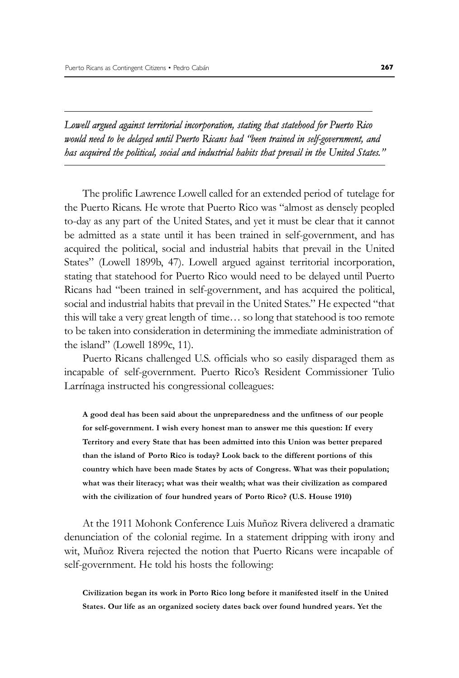*Lowell argued against territorial incorporation, stating that statehood for Puerto Rico would need to be delayed until Puerto Ricans had "been trained in self-government, and has acquired the political, social and industrial habits that prevail in the United States."*

The prolific Lawrence Lowell called for an extended period of tutelage for the Puerto Ricans. He wrote that Puerto Rico was "almost as densely peopled to-day as any part of the United States, and yet it must be clear that it cannot be admitted as a state until it has been trained in self-government, and has acquired the political, social and industrial habits that prevail in the United States" (Lowell 1899b, 47). Lowell argued against territorial incorporation, stating that statehood for Puerto Rico would need to be delayed until Puerto Ricans had "been trained in self-government, and has acquired the political, social and industrial habits that prevail in the United States." He expected "that this will take a very great length of time… so long that statehood is too remote to be taken into consideration in determining the immediate administration of the island" (Lowell 1899c, 11).

Puerto Ricans challenged U.S. officials who so easily disparaged them as incapable of self-government. Puerto Rico's Resident Commissioner Tulio Larrínaga instructed his congressional colleagues:

**A good deal has been said about the unpreparedness and the unfitness of our people for self-government. I wish every honest man to answer me this question: If every Territory and every State that has been admitted into this Union was better prepared than the island of Porto Rico is today? Look back to the different portions of this country which have been made States by acts of Congress. What was their population; what was their literacy; what was their wealth; what was their civilization as compared with the civilization of four hundred years of Porto Rico? (U.S. House 1910)**

At the 1911 Mohonk Conference Luis Muñoz Rivera delivered a dramatic denunciation of the colonial regime. In a statement dripping with irony and wit, Muñoz Rivera rejected the notion that Puerto Ricans were incapable of self-government. He told his hosts the following:

**Civilization began its work in Porto Rico long before it manifested itself in the United States. Our life as an organized society dates back over found hundred years. Yet the**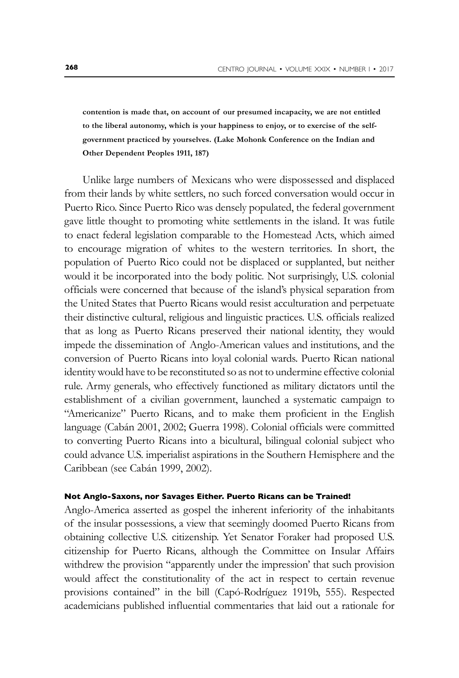**contention is made that, on account of our presumed incapacity, we are not entitled to the liberal autonomy, which is your happiness to enjoy, or to exercise of the selfgovernment practiced by yourselves. (Lake Mohonk Conference on the Indian and Other Dependent Peoples 1911, 187)**

Unlike large numbers of Mexicans who were dispossessed and displaced from their lands by white settlers, no such forced conversation would occur in Puerto Rico. Since Puerto Rico was densely populated, the federal government gave little thought to promoting white settlements in the island. It was futile to enact federal legislation comparable to the Homestead Acts, which aimed to encourage migration of whites to the western territories*.* In short, the population of Puerto Rico could not be displaced or supplanted, but neither would it be incorporated into the body politic. Not surprisingly, U.S. colonial officials were concerned that because of the island's physical separation from the United States that Puerto Ricans would resist acculturation and perpetuate their distinctive cultural, religious and linguistic practices. U.S. officials realized that as long as Puerto Ricans preserved their national identity, they would impede the dissemination of Anglo-American values and institutions, and the conversion of Puerto Ricans into loyal colonial wards. Puerto Rican national identity would have to be reconstituted so as not to undermine effective colonial rule. Army generals, who effectively functioned as military dictators until the establishment of a civilian government, launched a systematic campaign to "Americanize" Puerto Ricans, and to make them proficient in the English language (Cabán 2001, 2002; Guerra 1998). Colonial officials were committed to converting Puerto Ricans into a bicultural, bilingual colonial subject who could advance U.S. imperialist aspirations in the Southern Hemisphere and the Caribbean (see Cabán 1999, 2002).

#### **Not Anglo-Saxons, nor Savages Either. Puerto Ricans can be Trained!**

Anglo-America asserted as gospel the inherent inferiority of the inhabitants of the insular possessions, a view that seemingly doomed Puerto Ricans from obtaining collective U.S. citizenship. Yet Senator Foraker had proposed U.S. citizenship for Puerto Ricans, although the Committee on Insular Affairs withdrew the provision "apparently under the impression' that such provision would affect the constitutionality of the act in respect to certain revenue provisions contained" in the bill (Capó-Rodríguez 1919b, 555). Respected academicians published influential commentaries that laid out a rationale for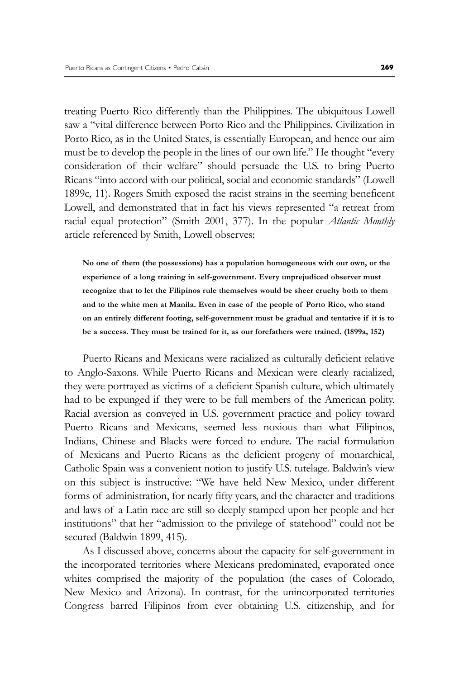treating Puerto Rico differently than the Philippines. The ubiquitous Lowell saw a "vital difference between Porto Rico and the Philippines. Civilization in Porto Rico, as in the United States, is essentially European, and hence our aim must be to develop the people in the lines of our own life." He thought "every consideration of their welfare" should persuade the U.S. to bring Puerto Ricans "into accord with our political, social and economic standards" (Lowell 1899c, 11). Rogers Smith exposed the racist strains in the seeming beneficent Lowell, and demonstrated that in fact his views represented "a retreat from racial equal protection" (Smith 2001, 377). In the popular *Atlantic Monthly* article referenced by Smith, Lowell observes:

**No one of them (the possessions) has a population homogeneous with our own, or the experience of a long training in self-government. Every unprejudiced observer must recognize that to let the Filipinos rule themselves would be sheer cruelty both to them and to the white men at Manila. Even in case of the people of Porto Rico, who stand on an entirely different footing, self-government must be gradual and tentative if it is to be a success. They must be trained for it, as our forefathers were trained. (1899a, 152)**

Puerto Ricans and Mexicans were racialized as culturally deficient relative to Anglo-Saxons. While Puerto Ricans and Mexican were clearly racialized, they were portrayed as victims of a deficient Spanish culture, which ultimately had to be expunged if they were to be full members of the American polity. Racial aversion as conveyed in U.S. government practice and policy toward Puerto Ricans and Mexicans, seemed less noxious than what Filipinos, Indians, Chinese and Blacks were forced to endure. The racial formulation of Mexicans and Puerto Ricans as the deficient progeny of monarchical, Catholic Spain was a convenient notion to justify U.S. tutelage. Baldwin's view on this subject is instructive: "We have held New Mexico, under different forms of administration, for nearly fifty years, and the character and traditions and laws of a Latin race are still so deeply stamped upon her people and her institutions" that her "admission to the privilege of statehood" could not be secured (Baldwin 1899, 415).

As I discussed above, concerns about the capacity for self-government in the incorporated territories where Mexicans predominated, evaporated once whites comprised the majority of the population (the cases of Colorado, New Mexico and Arizona). In contrast, for the unincorporated territories Congress barred Filipinos from ever obtaining U.S. citizenship, and for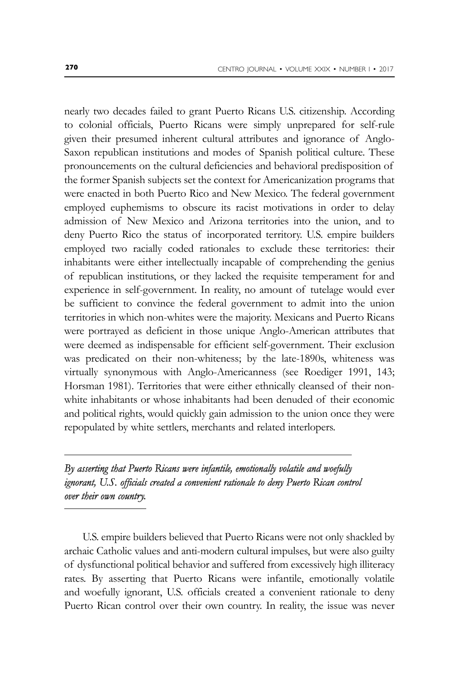nearly two decades failed to grant Puerto Ricans U.S. citizenship. According to colonial officials, Puerto Ricans were simply unprepared for self-rule given their presumed inherent cultural attributes and ignorance of Anglo-Saxon republican institutions and modes of Spanish political culture. These pronouncements on the cultural deficiencies and behavioral predisposition of the former Spanish subjects set the context for Americanization programs that were enacted in both Puerto Rico and New Mexico. The federal government employed euphemisms to obscure its racist motivations in order to delay admission of New Mexico and Arizona territories into the union, and to deny Puerto Rico the status of incorporated territory. U.S. empire builders employed two racially coded rationales to exclude these territories: their inhabitants were either intellectually incapable of comprehending the genius of republican institutions, or they lacked the requisite temperament for and experience in self-government. In reality, no amount of tutelage would ever be sufficient to convince the federal government to admit into the union territories in which non-whites were the majority. Mexicans and Puerto Ricans were portrayed as deficient in those unique Anglo-American attributes that were deemed as indispensable for efficient self-government. Their exclusion was predicated on their non-whiteness; by the late-1890s, whiteness was virtually synonymous with Anglo-Americanness (see Roediger 1991, 143; Horsman 1981). Territories that were either ethnically cleansed of their nonwhite inhabitants or whose inhabitants had been denuded of their economic and political rights, would quickly gain admission to the union once they were repopulated by white settlers, merchants and related interlopers.

*By asserting that Puerto Ricans were infantile, emotionally volatile and woefully ignorant, U.S. officials created a convenient rationale to deny Puerto Rican control over their own country.*

U.S. empire builders believed that Puerto Ricans were not only shackled by archaic Catholic values and anti-modern cultural impulses, but were also guilty of dysfunctional political behavior and suffered from excessively high illiteracy rates. By asserting that Puerto Ricans were infantile, emotionally volatile and woefully ignorant, U.S. officials created a convenient rationale to deny Puerto Rican control over their own country. In reality, the issue was never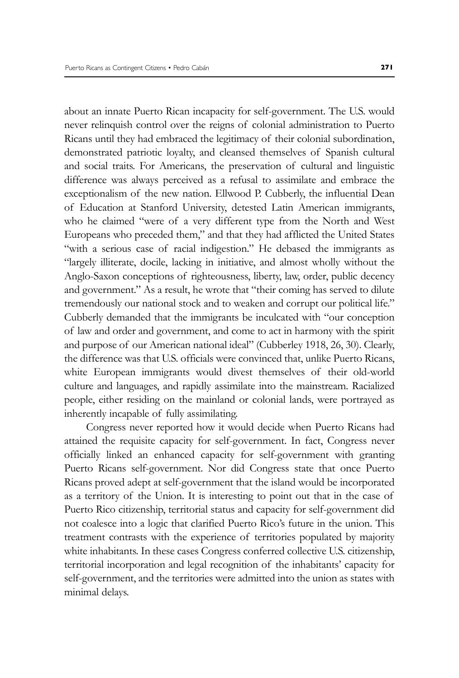about an innate Puerto Rican incapacity for self-government. The U.S. would never relinquish control over the reigns of colonial administration to Puerto Ricans until they had embraced the legitimacy of their colonial subordination, demonstrated patriotic loyalty, and cleansed themselves of Spanish cultural and social traits. For Americans, the preservation of cultural and linguistic difference was always perceived as a refusal to assimilate and embrace the exceptionalism of the new nation. Ellwood P. Cubberly, the influential Dean of Education at Stanford University, detested Latin American immigrants, who he claimed "were of a very different type from the North and West Europeans who preceded them," and that they had afflicted the United States "with a serious case of racial indigestion." He debased the immigrants as "largely illiterate, docile, lacking in initiative, and almost wholly without the Anglo-Saxon conceptions of righteousness, liberty, law, order, public decency and government." As a result, he wrote that "their coming has served to dilute tremendously our national stock and to weaken and corrupt our political life." Cubberly demanded that the immigrants be inculcated with "our conception of law and order and government, and come to act in harmony with the spirit and purpose of our American national ideal" (Cubberley 1918, 26, 30). Clearly, the difference was that U.S. officials were convinced that, unlike Puerto Ricans, white European immigrants would divest themselves of their old-world culture and languages, and rapidly assimilate into the mainstream. Racialized people, either residing on the mainland or colonial lands, were portrayed as inherently incapable of fully assimilating.

 Congress never reported how it would decide when Puerto Ricans had attained the requisite capacity for self-government. In fact, Congress never officially linked an enhanced capacity for self-government with granting Puerto Ricans self-government. Nor did Congress state that once Puerto Ricans proved adept at self-government that the island would be incorporated as a territory of the Union. It is interesting to point out that in the case of Puerto Rico citizenship, territorial status and capacity for self-government did not coalesce into a logic that clarified Puerto Rico's future in the union. This treatment contrasts with the experience of territories populated by majority white inhabitants. In these cases Congress conferred collective U.S. citizenship, territorial incorporation and legal recognition of the inhabitants' capacity for self-government, and the territories were admitted into the union as states with minimal delays.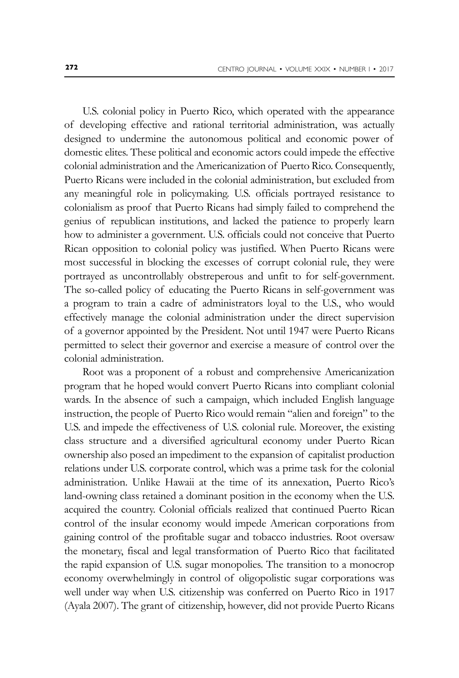U.S. colonial policy in Puerto Rico, which operated with the appearance of developing effective and rational territorial administration, was actually designed to undermine the autonomous political and economic power of domestic elites. These political and economic actors could impede the effective colonial administration and the Americanization of Puerto Rico. Consequently, Puerto Ricans were included in the colonial administration, but excluded from any meaningful role in policymaking. U.S. officials portrayed resistance to colonialism as proof that Puerto Ricans had simply failed to comprehend the genius of republican institutions, and lacked the patience to properly learn how to administer a government. U.S. officials could not conceive that Puerto Rican opposition to colonial policy was justified. When Puerto Ricans were most successful in blocking the excesses of corrupt colonial rule, they were portrayed as uncontrollably obstreperous and unfit to for self-government. The so-called policy of educating the Puerto Ricans in self-government was a program to train a cadre of administrators loyal to the U.S., who would effectively manage the colonial administration under the direct supervision of a governor appointed by the President. Not until 1947 were Puerto Ricans permitted to select their governor and exercise a measure of control over the colonial administration.

Root was a proponent of a robust and comprehensive Americanization program that he hoped would convert Puerto Ricans into compliant colonial wards. In the absence of such a campaign, which included English language instruction, the people of Puerto Rico would remain "alien and foreign" to the U.S. and impede the effectiveness of U.S. colonial rule. Moreover, the existing class structure and a diversified agricultural economy under Puerto Rican ownership also posed an impediment to the expansion of capitalist production relations under U.S. corporate control, which was a prime task for the colonial administration. Unlike Hawaii at the time of its annexation, Puerto Rico's land-owning class retained a dominant position in the economy when the U.S. acquired the country. Colonial officials realized that continued Puerto Rican control of the insular economy would impede American corporations from gaining control of the profitable sugar and tobacco industries. Root oversaw the monetary, fiscal and legal transformation of Puerto Rico that facilitated the rapid expansion of U.S. sugar monopolies. The transition to a monocrop economy overwhelmingly in control of oligopolistic sugar corporations was well under way when U.S. citizenship was conferred on Puerto Rico in 1917 (Ayala 2007). The grant of citizenship, however, did not provide Puerto Ricans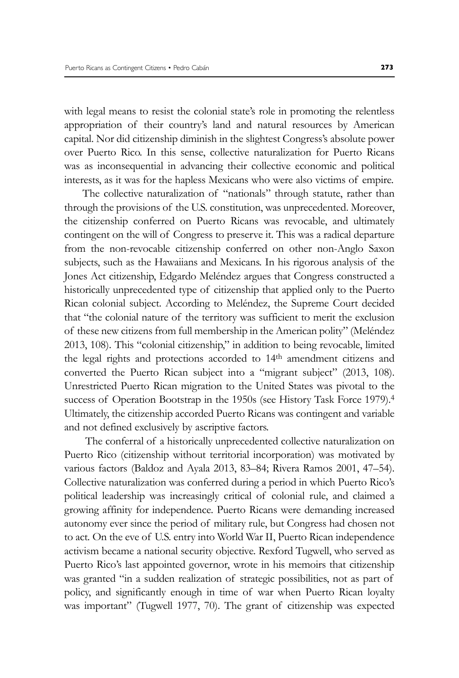with legal means to resist the colonial state's role in promoting the relentless appropriation of their country's land and natural resources by American capital. Nor did citizenship diminish in the slightest Congress's absolute power over Puerto Rico. In this sense, collective naturalization for Puerto Ricans was as inconsequential in advancing their collective economic and political interests, as it was for the hapless Mexicans who were also victims of empire.

The collective naturalization of "nationals" through statute, rather than through the provisions of the U.S. constitution, was unprecedented. Moreover, the citizenship conferred on Puerto Ricans was revocable, and ultimately contingent on the will of Congress to preserve it. This was a radical departure from the non-revocable citizenship conferred on other non-Anglo Saxon subjects, such as the Hawaiians and Mexicans. In his rigorous analysis of the Jones Act citizenship, Edgardo Meléndez argues that Congress constructed a historically unprecedented type of citizenship that applied only to the Puerto Rican colonial subject. According to Meléndez, the Supreme Court decided that "the colonial nature of the territory was sufficient to merit the exclusion of these new citizens from full membership in the American polity" (Meléndez 2013, 108). This "colonial citizenship," in addition to being revocable, limited the legal rights and protections accorded to 14th amendment citizens and converted the Puerto Rican subject into a "migrant subject" (2013, 108). Unrestricted Puerto Rican migration to the United States was pivotal to the success of Operation Bootstrap in the 1950s (see History Task Force 1979).<sup>4</sup> Ultimately, the citizenship accorded Puerto Ricans was contingent and variable and not defined exclusively by ascriptive factors.

 The conferral of a historically unprecedented collective naturalization on Puerto Rico (citizenship without territorial incorporation) was motivated by various factors (Baldoz and Ayala 2013, 83–84; Rivera Ramos 2001, 47–54). Collective naturalization was conferred during a period in which Puerto Rico's political leadership was increasingly critical of colonial rule, and claimed a growing affinity for independence. Puerto Ricans were demanding increased autonomy ever since the period of military rule, but Congress had chosen not to act*.* On the eve of U.S. entry into World War II, Puerto Rican independence activism became a national security objective. Rexford Tugwell, who served as Puerto Rico's last appointed governor, wrote in his memoirs that citizenship was granted "in a sudden realization of strategic possibilities, not as part of policy, and significantly enough in time of war when Puerto Rican loyalty was important" (Tugwell 1977, 70). The grant of citizenship was expected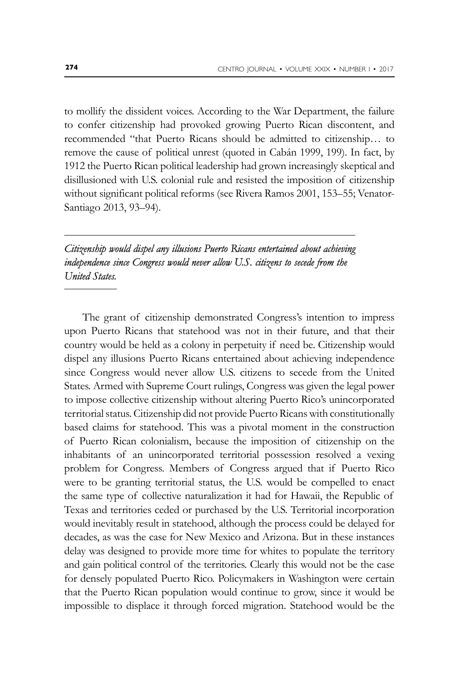to mollify the dissident voices. According to the War Department, the failure to confer citizenship had provoked growing Puerto Rican discontent, and recommended "that Puerto Ricans should be admitted to citizenship… to remove the cause of political unrest (quoted in Cabán 1999, 199). In fact, by 1912 the Puerto Rican political leadership had grown increasingly skeptical and disillusioned with U.S. colonial rule and resisted the imposition of citizenship without significant political reforms (see Rivera Ramos 2001, 153–55; Venator-Santiago 2013, 93–94).

### *Citizenship would dispel any illusions Puerto Ricans entertained about achieving independence since Congress would never allow U.S. citizens to secede from the United States.*

The grant of citizenship demonstrated Congress's intention to impress upon Puerto Ricans that statehood was not in their future, and that their country would be held as a colony in perpetuity if need be. Citizenship would dispel any illusions Puerto Ricans entertained about achieving independence since Congress would never allow U.S. citizens to secede from the United States. Armed with Supreme Court rulings, Congress was given the legal power to impose collective citizenship without altering Puerto Rico's unincorporated territorial status. Citizenship did not provide Puerto Ricans with constitutionally based claims for statehood. This was a pivotal moment in the construction of Puerto Rican colonialism, because the imposition of citizenship on the inhabitants of an unincorporated territorial possession resolved a vexing problem for Congress. Members of Congress argued that if Puerto Rico were to be granting territorial status, the U.S. would be compelled to enact the same type of collective naturalization it had for Hawaii, the Republic of Texas and territories ceded or purchased by the U.S. Territorial incorporation would inevitably result in statehood, although the process could be delayed for decades, as was the case for New Mexico and Arizona. But in these instances delay was designed to provide more time for whites to populate the territory and gain political control of the territories. Clearly this would not be the case for densely populated Puerto Rico. Policymakers in Washington were certain that the Puerto Rican population would continue to grow, since it would be impossible to displace it through forced migration. Statehood would be the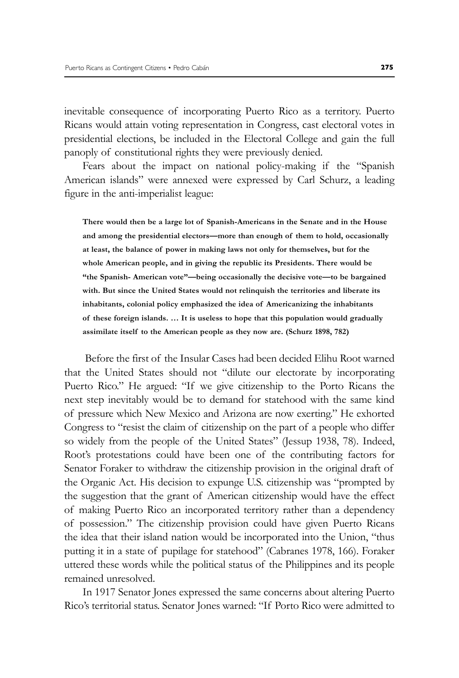inevitable consequence of incorporating Puerto Rico as a territory. Puerto Ricans would attain voting representation in Congress, cast electoral votes in presidential elections, be included in the Electoral College and gain the full panoply of constitutional rights they were previously denied.

Fears about the impact on national policy-making if the "Spanish American islands" were annexed were expressed by Carl Schurz, a leading figure in the anti-imperialist league:

**There would then be a large lot of Spanish-Americans in the Senate and in the House and among the presidential electors—more than enough of them to hold, occasionally at least, the balance of power in making laws not only for themselves, but for the whole American people, and in giving the republic its Presidents. There would be "the Spanish- American vote"—being occasionally the decisive vote—to be bargained with. But since the United States would not relinquish the territories and liberate its inhabitants, colonial policy emphasized the idea of Americanizing the inhabitants of these foreign islands. … It is useless to hope that this population would gradually assimilate itself to the American people as they now are. (Schurz 1898, 782)**

 Before the first of the Insular Cases had been decided Elihu Root warned that the United States should not "dilute our electorate by incorporating Puerto Rico." He argued: "If we give citizenship to the Porto Ricans the next step inevitably would be to demand for statehood with the same kind of pressure which New Mexico and Arizona are now exerting." He exhorted Congress to "resist the claim of citizenship on the part of a people who differ so widely from the people of the United States" (Jessup 1938, 78). Indeed, Root's protestations could have been one of the contributing factors for Senator Foraker to withdraw the citizenship provision in the original draft of the Organic Act. His decision to expunge U.S. citizenship was "prompted by the suggestion that the grant of American citizenship would have the effect of making Puerto Rico an incorporated territory rather than a dependency of possession." The citizenship provision could have given Puerto Ricans the idea that their island nation would be incorporated into the Union, "thus putting it in a state of pupilage for statehood" (Cabranes 1978, 166). Foraker uttered these words while the political status of the Philippines and its people remained unresolved.

In 1917 Senator Jones expressed the same concerns about altering Puerto Rico's territorial status. Senator Jones warned: "If Porto Rico were admitted to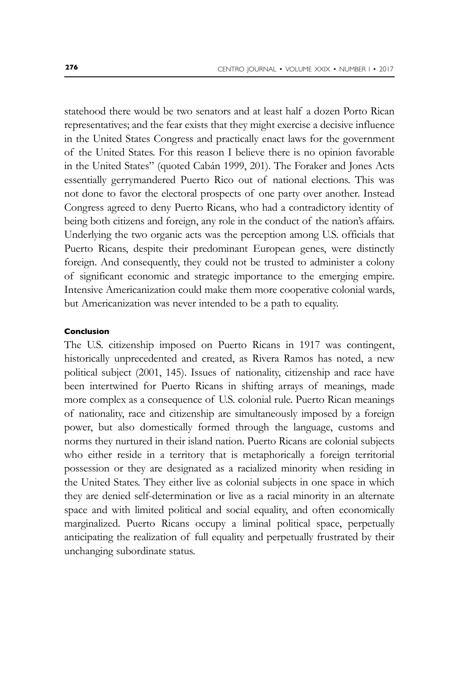statehood there would be two senators and at least half a dozen Porto Rican representatives; and the fear exists that they might exercise a decisive influence in the United States Congress and practically enact laws for the government of the United States. For this reason I believe there is no opinion favorable in the United States" (quoted Cabán 1999, 201). The Foraker and Jones Acts essentially gerrymandered Puerto Rico out of national elections. This was not done to favor the electoral prospects of one party over another. Instead Congress agreed to deny Puerto Ricans, who had a contradictory identity of being both citizens and foreign, any role in the conduct of the nation's affairs. Underlying the two organic acts was the perception among U.S. officials that Puerto Ricans, despite their predominant European genes, were distinctly foreign. And consequently, they could not be trusted to administer a colony of significant economic and strategic importance to the emerging empire. Intensive Americanization could make them more cooperative colonial wards, but Americanization was never intended to be a path to equality.

#### **Conclusion**

The U.S. citizenship imposed on Puerto Ricans in 1917 was contingent, historically unprecedented and created, as Rivera Ramos has noted, a new political subject (2001, 145). Issues of nationality, citizenship and race have been intertwined for Puerto Ricans in shifting arrays of meanings, made more complex as a consequence of U.S. colonial rule. Puerto Rican meanings of nationality, race and citizenship are simultaneously imposed by a foreign power, but also domestically formed through the language, customs and norms they nurtured in their island nation. Puerto Ricans are colonial subjects who either reside in a territory that is metaphorically a foreign territorial possession or they are designated as a racialized minority when residing in the United States. They either live as colonial subjects in one space in which they are denied self-determination or live as a racial minority in an alternate space and with limited political and social equality, and often economically marginalized. Puerto Ricans occupy a liminal political space, perpetually anticipating the realization of full equality and perpetually frustrated by their unchanging subordinate status.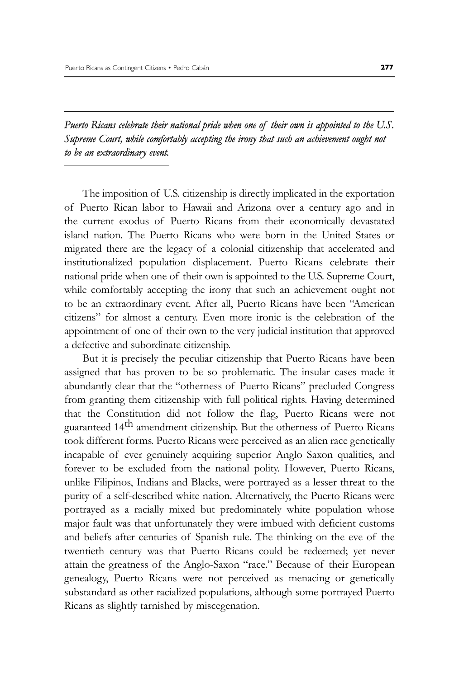*Puerto Ricans celebrate their national pride when one of their own is appointed to the U.S. Supreme Court, while comfortably accepting the irony that such an achievement ought not to be an extraordinary event.*

The imposition of U.S. citizenship is directly implicated in the exportation of Puerto Rican labor to Hawaii and Arizona over a century ago and in the current exodus of Puerto Ricans from their economically devastated island nation. The Puerto Ricans who were born in the United States or migrated there are the legacy of a colonial citizenship that accelerated and institutionalized population displacement. Puerto Ricans celebrate their national pride when one of their own is appointed to the U.S. Supreme Court, while comfortably accepting the irony that such an achievement ought not to be an extraordinary event. After all, Puerto Ricans have been "American citizens" for almost a century. Even more ironic is the celebration of the appointment of one of their own to the very judicial institution that approved a defective and subordinate citizenship.

But it is precisely the peculiar citizenship that Puerto Ricans have been assigned that has proven to be so problematic. The insular cases made it abundantly clear that the "otherness of Puerto Ricans" precluded Congress from granting them citizenship with full political rights. Having determined that the Constitution did not follow the flag, Puerto Ricans were not guaranteed 14th amendment citizenship. But the otherness of Puerto Ricans took different forms. Puerto Ricans were perceived as an alien race genetically incapable of ever genuinely acquiring superior Anglo Saxon qualities, and forever to be excluded from the national polity. However, Puerto Ricans, unlike Filipinos, Indians and Blacks, were portrayed as a lesser threat to the purity of a self-described white nation. Alternatively, the Puerto Ricans were portrayed as a racially mixed but predominately white population whose major fault was that unfortunately they were imbued with deficient customs and beliefs after centuries of Spanish rule. The thinking on the eve of the twentieth century was that Puerto Ricans could be redeemed; yet never attain the greatness of the Anglo-Saxon "race." Because of their European genealogy, Puerto Ricans were not perceived as menacing or genetically substandard as other racialized populations, although some portrayed Puerto Ricans as slightly tarnished by miscegenation.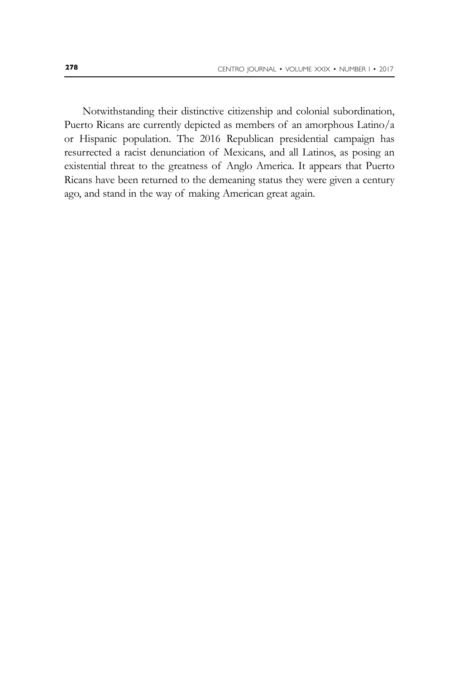Notwithstanding their distinctive citizenship and colonial subordination, Puerto Ricans are currently depicted as members of an amorphous Latino/a or Hispanic population. The 2016 Republican presidential campaign has resurrected a racist denunciation of Mexicans, and all Latinos, as posing an existential threat to the greatness of Anglo America. It appears that Puerto Ricans have been returned to the demeaning status they were given a century ago, and stand in the way of making American great again.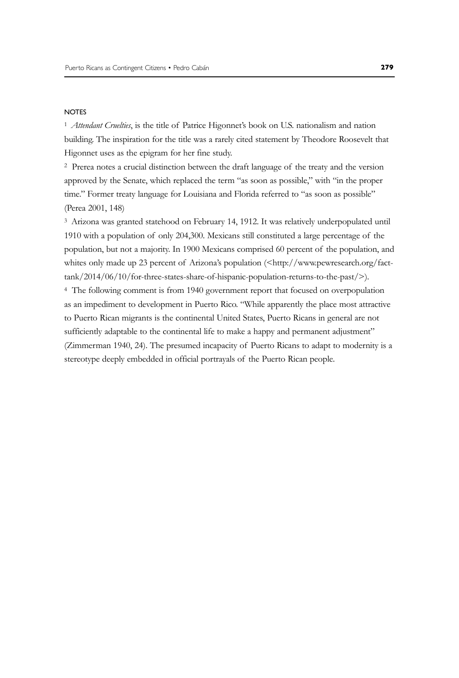#### **NOTES**

<sup>1</sup>*Attendant Cruelties*, is the title of Patrice Higonnet's book on U.S. nationalism and nation building. The inspiration for the title was a rarely cited statement by Theodore Roosevelt that Higonnet uses as the epigram for her fine study.

2 Prerea notes a crucial distinction between the draft language of the treaty and the version approved by the Senate, which replaced the term "as soon as possible," with "in the proper time." Former treaty language for Louisiana and Florida referred to "as soon as possible" (Perea 2001, 148)

3 Arizona was granted statehood on February 14, 1912. It was relatively underpopulated until 1910 with a population of only 204,300. Mexicans still constituted a large percentage of the population, but not a majority. In 1900 Mexicans comprised 60 percent of the population, and whites only made up 23 percent of Arizona's population (<http://www.pewresearch.org/facttank/2014/06/10/for-three-states-share-of-hispanic-population-returns-to-the-past/>). 4 The following comment is from 1940 government report that focused on overpopulation as an impediment to development in Puerto Rico. "While apparently the place most attractive to Puerto Rican migrants is the continental United States, Puerto Ricans in general are not sufficiently adaptable to the continental life to make a happy and permanent adjustment" (Zimmerman 1940, 24). The presumed incapacity of Puerto Ricans to adapt to modernity is a

stereotype deeply embedded in official portrayals of the Puerto Rican people.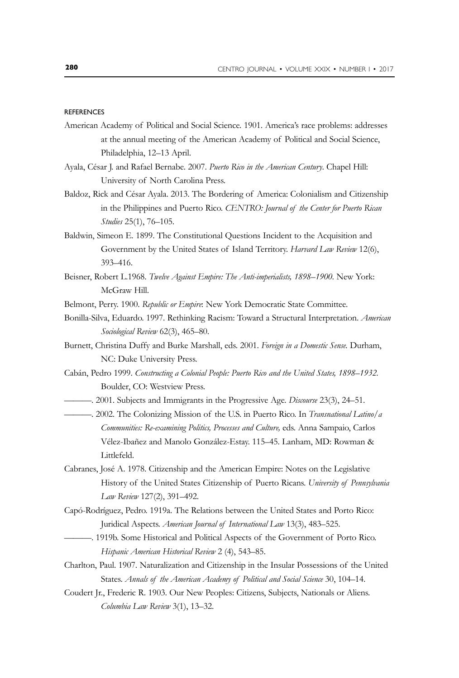#### **REFERENCES**

- American Academy of Political and Social Science. 1901. America's race problems: addresses at the annual meeting of the American Academy of Political and Social Science, Philadelphia, 12–13 April.
- Ayala, César J. and Rafael Bernabe. 2007. *Puerto Rico in the American Century*. Chapel Hill: University of North Carolina Press.
- Baldoz, Rick and César Ayala. 2013. The Bordering of America: Colonialism and Citizenship in the Philippines and Puerto Rico. *CENTRO: Journal of the Center for Puerto Rican Studies* 25(1), 76–105.
- Baldwin, Simeon E. 1899. The Constitutional Questions Incident to the Acquisition and Government by the United States of Island Territory. *Harvard Law Review* 12(6), 393–416.
- Beisner, Robert L.1968. *Twelve Against Empire: The Anti-imperialists, 1898–1900*. New York: McGraw Hill.
- Belmont, Perry. 1900. *Republic or Empire*: New York Democratic State Committee.
- Bonilla-Silva, Eduardo. 1997. Rethinking Racism: Toward a Structural Interpretation. *American Sociological Review* 62(3), 465–80.
- Burnett, Christina Duffy and Burke Marshall, eds. 2001. *Foreign in a Domestic Sense.* Durham, NC: Duke University Press.
- Cabán, Pedro 1999. *Constructing a Colonial People: Puerto Rico and the United States, 1898–1932.*  Boulder, CO: Westview Press.
- ———. 2001. Subjects and Immigrants in the Progressive Age. *Discourse* 23(3), 24–51.
- ———. 2002. The Colonizing Mission of the U.S. in Puerto Rico. In *Transnational Latino/a Communities: Re-examining Politics, Processes and Culture,* eds. Anna Sampaio, Carlos Vélez-Ibañez and Manolo González-Estay. 115-45. Lanham, MD: Rowman & Littlefeld.
- Cabranes, José A. 1978. Citizenship and the American Empire: Notes on the Legislative History of the United States Citizenship of Puerto Ricans. *University of Pennsylvania Law Review* 127(2), 391–492.
- Capó-Rodríguez, Pedro. 1919a. The Relations between the United States and Porto Rico: Juridical Aspects. *American Journal of International Law* 13(3), 483–525.
- ———. 1919b. Some Historical and Political Aspects of the Government of Porto Rico. *Hispanic American Historical Review* 2 (4), 543–85.
- Charlton, Paul. 1907. Naturalization and Citizenship in the Insular Possessions of the United States. *Annals of the American Academy of Political and Social Science* 30, 104–14.
- Coudert Jr., Frederic R. 1903. Our New Peoples: Citizens, Subjects, Nationals or Aliens. *Columbia Law Review* 3(1), 13–32.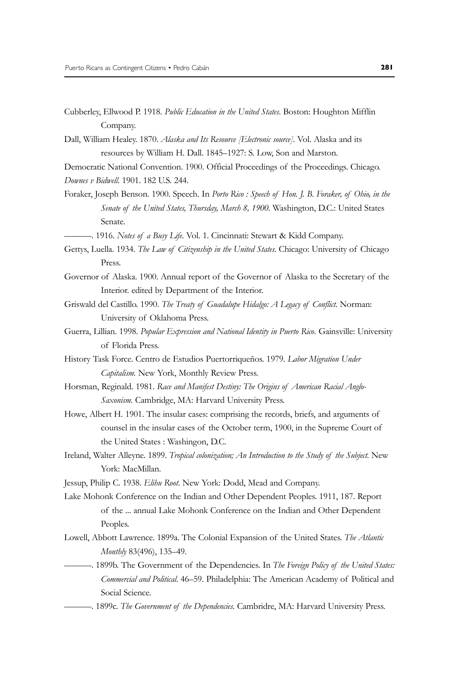- Cubberley, Ellwood P. 1918. *Public Education in the United States*. Boston: Houghton Mifflin Company.
- Dall, William Healey. 1870. *Alaska and Its Resource [Electronic source]*. Vol. Alaska and its resources by William H. Dall. 1845–1927: S. Low, Son and Marston.
- Democratic National Convention. 1900. Official Proceedings of the Proceedings. Chicago. *Downes v Bidwell*. 1901. 182 U.S. 244.
- Foraker, Joseph Benson. 1900. Speech. In *Porto Rico : Speech of Hon. J. B. Foraker, of Ohio, in the*  Senate of the United States, Thursday, March 8, 1900. Washington, D.C.: United States Senate.
	- ———. 1916. *Notes of a Busy Life*. Vol. 1. Cincinnati: Stewart & Kidd Company.
- Gettys, Luella. 1934. *The Law of Citizenship in the United States*. Chicago: University of Chicago Press.
- Governor of Alaska. 1900. Annual report of the Governor of Alaska to the Secretary of the Interior. edited by Department of the Interior.
- Griswald del Castillo. 1990. *The Treaty of Guadalupe Hidalgo: A Legacy of Conflict*. Norman: University of Oklahoma Press.
- Guerra, Lillian. 1998. *Popular Expression and National Identity in Puerto Rico*. Gainsville: University of Florida Press.
- History Task Force. Centro de Estudios Puertorriqueños. 1979. *Labor Migration Under Capitalism.* New York, Monthly Review Press.
- Horsman, Reginald. 1981. *Race and Manifest Destiny: The Origins of American Racial Anglo-Saxonism.* Cambridge, MA: Harvard University Press.
- Howe, Albert H. 1901. The insular cases: comprising the records, briefs, and arguments of counsel in the insular cases of the October term, 1900, in the Supreme Court of the United States : Washingon, D.C.
- Ireland, Walter Alleyne. 1899. *Tropical colonization; An Introduction to the Study of the Subject*. New York: MacMillan.
- Jessup, Philip C. 1938. *Elihu Root*. New York: Dodd, Mead and Company.
- Lake Mohonk Conference on the Indian and Other Dependent Peoples. 1911, 187. Report of the ... annual Lake Mohonk Conference on the Indian and Other Dependent Peoples.
- Lowell, Abbott Lawrence. 1899a. The Colonial Expansion of the United States. *The Atlantic Monthly* 83(496), 135–49.
- ———. 1899b. The Government of the Dependencies. In *The Foreign Policy of the United States: Commercial and Political*. 46–59. Philadelphia: The American Academy of Political and Social Science.
	- ———. 1899c. *The Government of the Dependencies*. Cambridre, MA: Harvard University Press.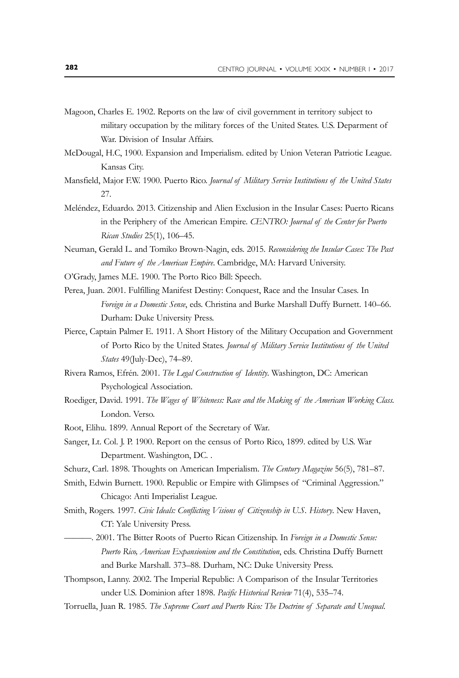- Magoon, Charles E. 1902. Reports on the law of civil government in territory subject to military occupation by the military forces of the United States. U.S. Deparment of War. Division of Insular Affairs.
- McDougal, H.C, 1900. Expansion and Imperialism. edited by Union Veteran Patriotic League. Kansas City.
- Mansfield, Major F.W. 1900. Puerto Rico. *Journal of Military Service Institutions of the United States* 27.
- Meléndez, Eduardo. 2013. Citizenship and Alien Exclusion in the Insular Cases: Puerto Ricans in the Periphery of the American Empire. *CENTRO: Journal of the Center for Puerto Rican Studies* 25(1), 106–45.
- Neuman, Gerald L. and Tomiko Brown-Nagin, eds. 2015. *Reconsidering the Insular Cases: The Past and Future of the American Empire*. Cambridge, MA: Harvard University.
- O'Grady, James M.E. 1900. The Porto Rico Bill: Speech.
- Perea, Juan. 2001. Fulfilling Manifest Destiny: Conquest, Race and the Insular Cases. In *Foreign in a Domestic Sense*, eds. Christina and Burke Marshall Duffy Burnett. 140–66. Durham: Duke University Press.
- Pierce, Captain Palmer E. 1911. A Short History of the Military Occupation and Government of Porto Rico by the United States. *Journal of Military Service Institutions of the United States* 49(July-Dec), 74–89.
- Rivera Ramos, Efrén. 2001. *The Legal Construction of Identity*. Washington, DC: American Psychological Association.
- Roediger, David. 1991. *The Wages of Whiteness: Race and the Making of the American Working Class.* London. Verso.
- Root, Elihu. 1899. Annual Report of the Secretary of War.
- Sanger, Lt. Col. J. P. 1900. Report on the census of Porto Rico, 1899. edited by U.S. War Department. Washington, DC. .
- Schurz, Carl. 1898. Thoughts on American Imperialism. *The Century Magazine* 56(5), 781–87.
- Smith, Edwin Burnett. 1900. Republic or Empire with Glimpses of "Criminal Aggression." Chicago: Anti Imperialist League.
- Smith, Rogers. 1997. *Civic Ideals: Conflicting Visions of Citizenship in U.S. History*. New Haven, CT: Yale University Press.
- ———. 2001. The Bitter Roots of Puerto Rican Citizenship. In *Foreign in a Domestic Sense: Puerto Rico, American Expansionism and the Constitution*, eds. Christina Duffy Burnett and Burke Marshall. 373–88. Durham, NC: Duke University Press.
- Thompson, Lanny. 2002. The Imperial Republic: A Comparison of the Insular Territories under U.S. Dominion after 1898. *Pacific Historical Review* 71(4), 535–74.
- Torruella, Juan R. 1985. *The Supreme Court and Puerto Rico: The Doctrine of Separate and Unequal*.